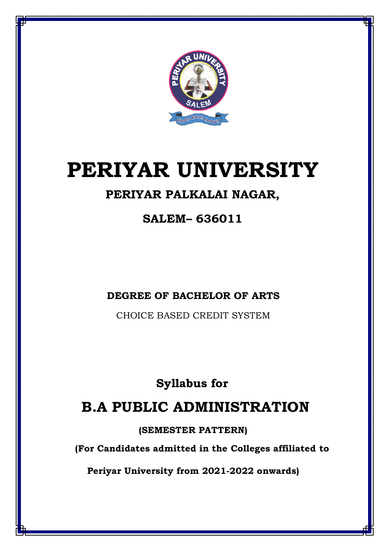

# **PERIYAR UNIVERSITY**

## **PERIYAR PALKALAI NAGAR,**

**SALEM– 636011**

**DEGREE OF BACHELOR OF ARTS**

CHOICE BASED CREDIT SYSTEM

## **Syllabus for**

## **B.A PUBLIC ADMINISTRATION**

**(SEMESTER PATTERN)**

**(For Candidates admitted in the Colleges affiliated to**

**Periyar University from 2021-2022 onwards)**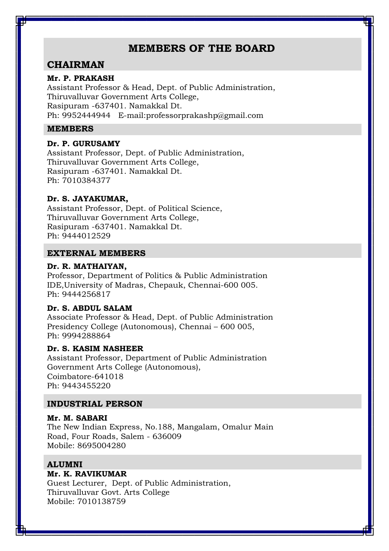## **MEMBERS OF THE BOARD**

## **CHAIRMAN**

#### **Mr. P. PRAKASH**

Assistant Professor & Head, Dept. of Public Administration, Thiruvalluvar Government Arts College, Rasipuram -637401. Namakkal Dt. Ph: 9952444944 E-mail:professorprakashp@gmail.com

#### **MEMBERS**

#### **Dr. P. GURUSAMY**

Assistant Professor, Dept. of Public Administration, Thiruvalluvar Government Arts College, Rasipuram -637401. Namakkal Dt. Ph: 7010384377

#### **Dr. S. JAYAKUMAR,**

Assistant Professor, Dept. of Political Science, Thiruvalluvar Government Arts College, Rasipuram -637401. Namakkal Dt. Ph: 9444012529

#### **EXTERNAL MEMBERS**

#### **Dr. R. MATHAIYAN,**

Professor, Department of Politics & Public Administration IDE,University of Madras, Chepauk, Chennai-600 005. Ph: 9444256817

#### **Dr. S. ABDUL SALAM**

Associate Professor & Head, Dept. of Public Administration Presidency College (Autonomous), Chennai – 600 005, Ph: 9994288864

#### **Dr. S. KASIM NASHEER**

Assistant Professor, Department of Public Administration Government Arts College (Autonomous), Coimbatore-641018 Ph: 9443455220

#### **INDUSTRIAL PERSON**

#### **Mr. M. SABARI**

The New Indian Express, No.188, Mangalam, Omalur Main Road, Four Roads, Salem - 636009 Mobile: 8695004280

#### **ALUMNI**

#### **Mr. K. RAVIKUMAR**

Guest Lecturer, Dept. of Public Administration, Thiruvalluvar Govt. Arts College Mobile: 7010138759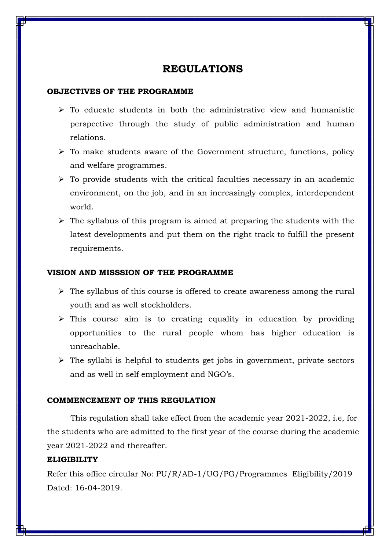## **REGULATIONS**

#### **OBJECTIVES OF THE PROGRAMME**

- $\triangleright$  To educate students in both the administrative view and humanistic perspective through the study of public administration and human relations.
- $\triangleright$  To make students aware of the Government structure, functions, policy and welfare programmes.
- $\triangleright$  To provide students with the critical faculties necessary in an academic environment, on the job, and in an increasingly complex, interdependent world.
- $\triangleright$  The syllabus of this program is aimed at preparing the students with the latest developments and put them on the right track to fulfill the present requirements.

#### **VISION AND MISSSION OF THE PROGRAMME**

- $\triangleright$  The syllabus of this course is offered to create awareness among the rural youth and as well stockholders.
- $\triangleright$  This course aim is to creating equality in education by providing opportunities to the rural people whom has higher education is unreachable.
- $\triangleright$  The syllabi is helpful to students get jobs in government, private sectors and as well in self employment and NGO's.

#### **COMMENCEMENT OF THIS REGULATION**

This regulation shall take effect from the academic year 2021-2022, i.e, for the students who are admitted to the first year of the course during the academic year 2021-2022 and thereafter.

#### **ELIGIBILITY**

Refer this office circular No: PU/R/AD-1/UG/PG/Programmes Eligibility/2019 Dated: 16-04-2019.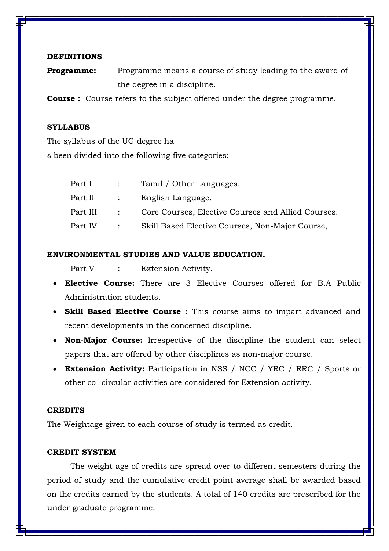#### **DEFINITIONS**

**Programme:** Programme means a course of study leading to the award of the degree in a discipline.

**Course :** Course refers to the subject offered under the degree programme.

#### **SYLLABUS**

The syllabus of the UG degree ha s been divided into the following five categories:

|           | Part I : Tamil / Other Languages.               |
|-----------|-------------------------------------------------|
|           |                                                 |
|           |                                                 |
| Part IV : | Skill Based Elective Courses, Non-Major Course, |

#### **ENVIRONMENTAL STUDIES AND VALUE EDUCATION.**

Part V : Extension Activity.

- **Elective Course:** There are 3 Elective Courses offered for B.A Public Administration students.
- **Skill Based Elective Course :** This course aims to impart advanced and recent developments in the concerned discipline.
- **Non-Major Course:** Irrespective of the discipline the student can select papers that are offered by other disciplines as non-major course.
- **Extension Activity:** Participation in NSS / NCC / YRC / RRC / Sports or other co- circular activities are considered for Extension activity.

#### **CREDITS**

The Weightage given to each course of study is termed as credit.

#### **CREDIT SYSTEM**

The weight age of credits are spread over to different semesters during the period of study and the cumulative credit point average shall be awarded based on the credits earned by the students. A total of 140 credits are prescribed for the under graduate programme.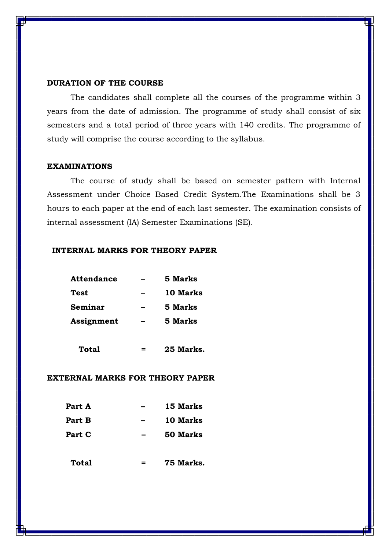#### **DURATION OF THE COURSE**

The candidates shall complete all the courses of the programme within 3 years from the date of admission. The programme of study shall consist of six semesters and a total period of three years with 140 credits. The programme of study will comprise the course according to the syllabus.

#### **EXAMINATIONS**

The course of study shall be based on semester pattern with Internal Assessment under Choice Based Credit System.The Examinations shall be 3 hours to each paper at the end of each last semester. The examination consists of internal assessment (IA) Semester Examinations (SE).

#### **INTERNAL MARKS FOR THEORY PAPER**

| <b>Attendance</b> | 5 Marks  |
|-------------------|----------|
| Test              | 10 Marks |
| Seminar           | 5 Marks  |
| Assignment        | 5 Marks  |
|                   |          |

 **Total = 25 Marks.**

#### **EXTERNAL MARKS FOR THEORY PAPER**

| Part A | 15 Marks |
|--------|----------|
| Part B | 10 Marks |
| Part C | 50 Marks |
|        |          |

**Total = 75 Marks.**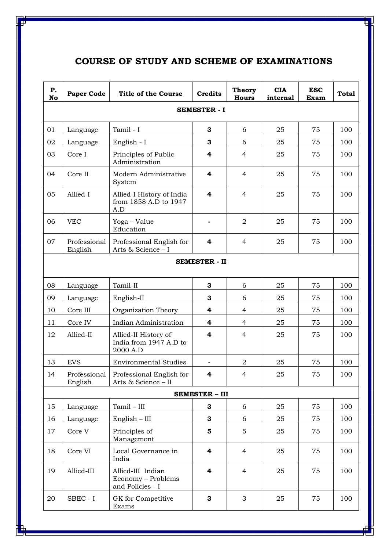## **COURSE OF STUDY AND SCHEME OF EXAMINATIONS**

| Ρ.<br>No | <b>Paper Code</b>       | <b>Title of the Course</b>                                  | <b>Credits</b>          | <b>Theory</b><br><b>Hours</b> | <b>CIA</b><br>internal | <b>ESC</b><br>Exam | <b>Total</b> |  |
|----------|-------------------------|-------------------------------------------------------------|-------------------------|-------------------------------|------------------------|--------------------|--------------|--|
|          | <b>SEMESTER - I</b>     |                                                             |                         |                               |                        |                    |              |  |
| 01       | Language                | Tamil - I                                                   | 3                       | 6                             | 25                     | 75                 | 100          |  |
| 02       | Language                | English - I                                                 | 3                       | 6                             | 25                     | 75                 | 100          |  |
| 03       | Core I                  | Principles of Public<br>Administration                      | 4                       | $\overline{4}$                | 25                     | 75                 | 100          |  |
| 04       | Core II                 | Modern Administrative<br>System                             | 4                       | $\overline{4}$                | 25                     | 75                 | 100          |  |
| 05       | Allied-I                | Allied-I History of India<br>from 1858 A.D to 1947<br>A.D   | 4                       | $\overline{4}$                | 25                     | 75                 | 100          |  |
| 06       | <b>VEC</b>              | Yoga - Value<br>Education                                   |                         | $\overline{2}$                | 25                     | 75                 | 100          |  |
| 07       | Professional<br>English | Professional English for<br>Arts & Science - I              | 4                       | $\overline{4}$                | 25                     | 75                 | 100          |  |
|          |                         |                                                             | <b>SEMESTER - II</b>    |                               |                        |                    |              |  |
| 08       | Language                | Tamil-II                                                    | 3                       | 6                             | 25                     | 75                 | 100          |  |
| 09       | Language                | English-II                                                  | 3                       | 6                             | 25                     | 75                 | 100          |  |
| 10       | Core III                | Organization Theory                                         | 4                       | $\overline{4}$                | 25                     | 75                 | 100          |  |
| 11       | Core IV                 | Indian Administration                                       | 4                       | $\overline{4}$                | 25                     | 75                 | 100          |  |
| 12       | Allied-II               | Allied-II History of<br>India from 1947 A.D to<br>2000 A.D  | $\overline{\mathbf{4}}$ | $\overline{4}$                | 25                     | 75                 | 100          |  |
| 13       | <b>EVS</b>              | <b>Environmental Studies</b>                                |                         | $\overline{2}$                | 25                     | 75                 | 100          |  |
| 14       | Professional<br>English | Professional English for<br>Arts & Science - II             | 4                       | 4                             | 25                     | 75                 | 100          |  |
|          |                         |                                                             | <b>SEMESTER - III</b>   |                               |                        |                    |              |  |
| 15       | Language                | Tamil – III                                                 | 3                       | 6                             | 25                     | 75                 | 100          |  |
| 16       | Language                | English – III                                               | 3                       | 6                             | 25                     | 75                 | 100          |  |
| 17       | Core V                  | Principles of<br>Management                                 | $\overline{\mathbf{5}}$ | 5                             | 25                     | 75                 | 100          |  |
| 18       | Core VI                 | Local Governance in<br>India                                | 4                       | $\overline{4}$                | 25                     | 75                 | 100          |  |
| 19       | Allied-III              | Allied-III Indian<br>Economy - Problems<br>and Policies - I | 4                       | $\overline{4}$                | 25                     | 75                 | 100          |  |
| 20       | SBEC - I                | GK for Competitive<br>Exams                                 | 3                       | 3                             | 25                     | 75                 | 100          |  |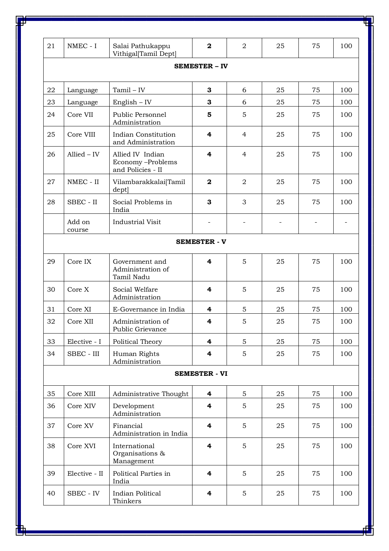| 21 | NMEC - I         | Salai Pathukappu<br>Vithigal[Tamil Dept]                  | $\mathbf 2$             | $\overline{2}$ | 25 | 75 | 100 |
|----|------------------|-----------------------------------------------------------|-------------------------|----------------|----|----|-----|
|    |                  |                                                           | <b>SEMESTER - IV</b>    |                |    |    |     |
|    |                  |                                                           |                         |                |    |    |     |
| 22 | Language         | $Tamil - IV \\$                                           | 3                       | 6              | 25 | 75 | 100 |
| 23 | Language         | English – IV                                              | 3                       | 6              | 25 | 75 | 100 |
| 24 | Core VII         | Public Personnel<br>Administration                        | 5                       | 5              | 25 | 75 | 100 |
| 25 | Core VIII        | Indian Constitution<br>and Administration                 | 4                       | $\overline{4}$ | 25 | 75 | 100 |
| 26 | $Allied - IV$    | Allied IV Indian<br>Economy-Problems<br>and Policies - II | 4                       | $\overline{4}$ | 25 | 75 | 100 |
| 27 | NMEC - II        | Vilambarakkalai[Tamil<br>dept                             | $\mathbf{2}$            | $\overline{2}$ | 25 | 75 | 100 |
| 28 | SBEC - II        | Social Problems in<br>India                               | 3                       | 3              | 25 | 75 | 100 |
|    | Add on<br>course | <b>Industrial Visit</b>                                   |                         |                |    |    |     |
|    |                  |                                                           | <b>SEMESTER - V</b>     |                |    |    |     |
| 29 | Core IX          | Government and<br>Administration of<br>Tamil Nadu         | 4                       | 5              | 25 | 75 | 100 |
| 30 | Core X           | Social Welfare<br>Administration                          | 4                       | 5              | 25 | 75 | 100 |
| 31 | Core XI          | E-Governance in India                                     | 4                       | 5              | 25 | 75 | 100 |
| 32 | Core XII         | Administration of<br>Public Grievance                     | 4                       | 5              | 25 | 75 | 100 |
| 33 | Elective - I     | Political Theory                                          | 4                       | 5              | 25 | 75 | 100 |
| 34 | SBEC - III       | Human Rights<br>Administration                            | 4                       | 5              | 25 | 75 | 100 |
|    |                  |                                                           | <b>SEMESTER - VI</b>    |                |    |    |     |
| 35 | Core XIII        | Administrative Thought                                    | 4                       | 5              | 25 | 75 | 100 |
| 36 | Core XIV         | Development<br>Administration                             | 4                       | 5              | 25 | 75 | 100 |
| 37 | Core XV          | Financial<br>Administration in India                      | $\overline{\mathbf{4}}$ | 5              | 25 | 75 | 100 |
| 38 | Core XVI         | International<br>Organisations &<br>Management            | $\overline{\mathbf{4}}$ | 5              | 25 | 75 | 100 |
| 39 | Elective - II    | Political Parties in<br>India                             | 4                       | 5              | 25 | 75 | 100 |
| 40 | SBEC - IV        | Indian Political<br>Thinkers                              | 4                       | 5              | 25 | 75 | 100 |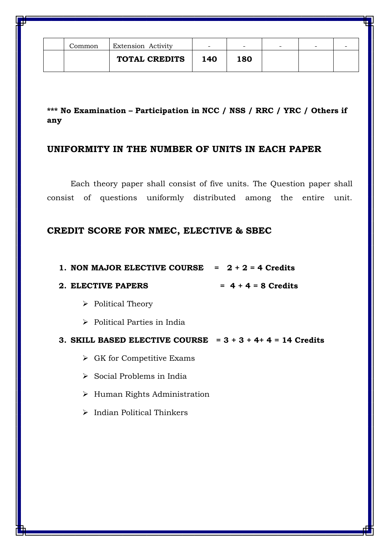| Common | Extension Activity   | -   | -   | - | - |  |
|--------|----------------------|-----|-----|---|---|--|
|        | <b>TOTAL CREDITS</b> | 140 | 180 |   |   |  |

**\*\*\* No Examination – Participation in NCC / NSS / RRC / YRC / Others if any**

## **UNIFORMITY IN THE NUMBER OF UNITS IN EACH PAPER**

Each theory paper shall consist of five units. The Question paper shall consist of questions uniformly distributed among the entire unit.

## **CREDIT SCORE FOR NMEC, ELECTIVE & SBEC**

|  | <b>1. NON MAJOR ELECTIVE COURSE</b> |  | $= 2 + 2 = 4$ Credits |
|--|-------------------------------------|--|-----------------------|
|  |                                     |  |                       |

#### 2. **ELECTIVE PAPERS**  $= 4 + 4 = 8$  Credits

- $\triangleright$  Political Theory
- $\triangleright$  Political Parties in India

#### **3. SKILL BASED ELECTIVE COURSE = 3 + 3 + 4+ 4 = 14 Credits**

- $\triangleright$  GK for Competitive Exams
- $\triangleright$  Social Problems in India
- > Human Rights Administration
- $\triangleright$  Indian Political Thinkers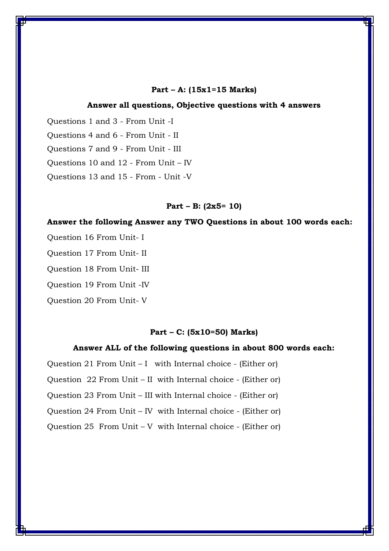#### **Part – A: (15x1=15 Marks)**

#### **Answer all questions, Objective questions with 4 answers**

Questions 1 and 3 - From Unit -I Questions 4 and 6 - From Unit - II Questions 7 and 9 - From Unit - III Questions 10 and 12 - From Unit – IV Questions 13 and 15 - From - Unit -V

#### **Part – B: (2x5= 10)**

#### **Answer the following Answer any TWO Questions in about 100 words each:**

Question 16 From Unit- I

Question 17 From Unit- II

Question 18 From Unit- III

Question 19 From Unit -IV

Question 20 From Unit- V

#### **Part – C: (5x10=50) Marks)**

#### **Answer ALL of the following questions in about 800 words each:**

Question 21 From Unit – I with Internal choice - (Either or) Question 22 From Unit – II with Internal choice - (Either or) Question 23 From Unit – III with Internal choice - (Either or) Question 24 From Unit – IV with Internal choice - (Either or) Question 25 From Unit – V with Internal choice - (Either or)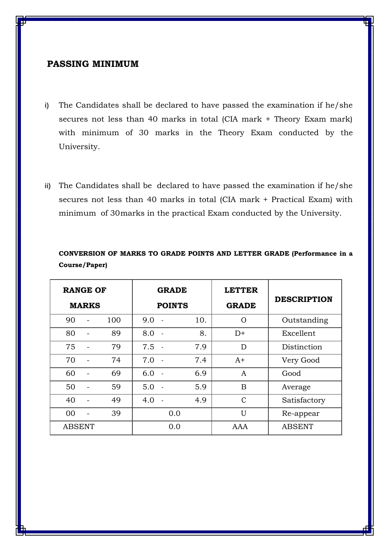#### **PASSING MINIMUM**

- **i)** The Candidates shall be declared to have passed the examination if he/she secures not less than 40 marks in total (CIA mark + Theory Exam mark) with minimum of 30 marks in the Theory Exam conducted by the University.
- **ii)** The Candidates shall be declared to have passed the examination if he/she secures not less than 40 marks in total (CIA mark + Practical Exam) with minimum of 30marks in the practical Exam conducted by the University.

| <b>RANGE OF</b><br><b>MARKS</b> |     | <b>GRADE</b><br><b>POINTS</b> |     | <b>LETTER</b><br><b>GRADE</b> | <b>DESCRIPTION</b> |
|---------------------------------|-----|-------------------------------|-----|-------------------------------|--------------------|
| 90                              | 100 | 9.0                           | 10. | $\Omega$                      | Outstanding        |
| 80                              | 89  | 8.0                           | 8.  | $D+$                          | Excellent          |
| 75                              | 79  | $7.5 -$                       | 7.9 | D                             | Distinction        |
| 70                              | 74  | 7.0<br>$\sim$ $\sim$          | 7.4 | $A+$                          | Very Good          |
| 60                              | 69  | 6.0                           | 6.9 | $\mathbf{A}$                  | Good               |
| 50                              | 59  | 5.0                           | 5.9 | B                             | Average            |
| 40                              | 49  | 4.0                           | 4.9 | $\mathcal{C}$                 | Satisfactory       |
| 00                              | 39  | 0.0                           |     | U                             | Re-appear          |
| <b>ABSENT</b>                   |     | 0.0                           |     | AAA                           | <b>ABSENT</b>      |

**CONVERSION OF MARKS TO GRADE POINTS AND LETTER GRADE (Performance in a Course/Paper)**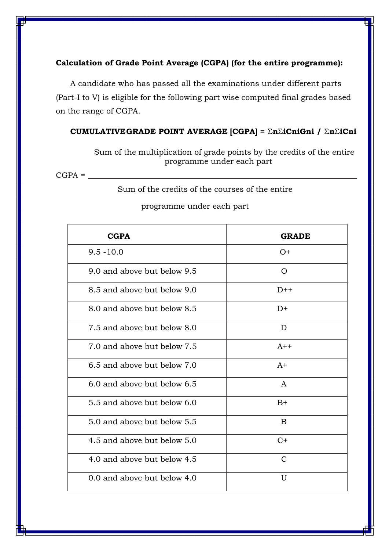#### **Calculation of Grade Point Average (CGPA) (for the entire programme):**

A candidate who has passed all the examinations under different parts (Part-I to V) is eligible for the following part wise computed final grades based on the range of CGPA.

#### **CUMULATIVEGRADE POINT AVERAGE [CGPA] =** Σ**n**Σ**iCniGni /** Σ**n**Σ**iCni**

Sum of the multiplication of grade points by the credits of the entire programme under each part

 $CGPA =$ 

Sum of the credits of the courses of the entire

| <b>CGPA</b>                 | <b>GRADE</b>  |
|-----------------------------|---------------|
| $9.5 - 10.0$                | $O+$          |
| 9.0 and above but below 9.5 | $\Omega$      |
| 8.5 and above but below 9.0 | $D++$         |
| 8.0 and above but below 8.5 | $D+$          |
| 7.5 and above but below 8.0 | D             |
| 7.0 and above but below 7.5 | $A++$         |
| 6.5 and above but below 7.0 | $A+$          |
| 6.0 and above but below 6.5 | A             |
| 5.5 and above but below 6.0 | $B+$          |
| 5.0 and above but below 5.5 | B             |
| 4.5 and above but below 5.0 | $C+$          |
| 4.0 and above but below 4.5 | $\mathcal{C}$ |
| 0.0 and above but below 4.0 | U             |

#### programme under each part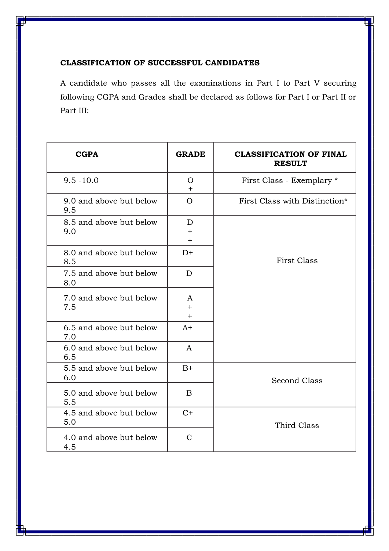#### **CLASSIFICATION OF SUCCESSFUL CANDIDATES**

A candidate who passes all the examinations in Part I to Part V securing following CGPA and Grades shall be declared as follows for Part I or Part II or Part III:

| <b>CGPA</b>                    | <b>GRADE</b>                | <b>CLASSIFICATION OF FINAL</b><br><b>RESULT</b> |  |
|--------------------------------|-----------------------------|-------------------------------------------------|--|
| $9.5 - 10.0$                   | $\overline{O}$<br>$+$       | First Class - Exemplary *                       |  |
| 9.0 and above but below<br>9.5 | $\overline{O}$              | First Class with Distinction*                   |  |
| 8.5 and above but below<br>9.0 | D<br>$+$<br>$+$             |                                                 |  |
| 8.0 and above but below<br>8.5 | $D+$                        | <b>First Class</b>                              |  |
| 7.5 and above but below<br>8.0 | D                           |                                                 |  |
| 7.0 and above but below<br>7.5 | A<br>$\ddot{}$<br>$\ddot{}$ |                                                 |  |
| 6.5 and above but below<br>7.0 | $A+$                        |                                                 |  |
| 6.0 and above but below<br>6.5 | $\mathbf{A}$                |                                                 |  |
| 5.5 and above but below<br>6.0 | $B+$                        | <b>Second Class</b>                             |  |
| 5.0 and above but below<br>5.5 | B                           |                                                 |  |
| 4.5 and above but below<br>5.0 | $C+$                        | Third Class                                     |  |
| 4.0 and above but below<br>4.5 | $\mathcal{C}$               |                                                 |  |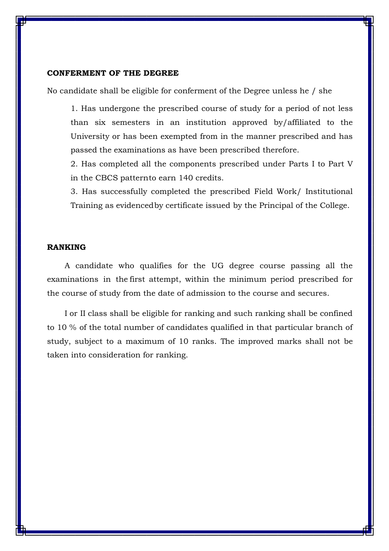#### **CONFERMENT OF THE DEGREE**

No candidate shall be eligible for conferment of the Degree unless he / she

1. Has undergone the prescribed course of study for a period of not less than six semesters in an institution approved by/affiliated to the University or has been exempted from in the manner prescribed and has passed the examinations as have been prescribed therefore.

2. Has completed all the components prescribed under Parts I to Part V in the CBCS patternto earn 140 credits.

3. Has successfully completed the prescribed Field Work/ Institutional Training as evidencedby certificate issued by the Principal of the College.

#### **RANKING**

 A candidate who qualifies for the UG degree course passing all the examinations in the first attempt, within the minimum period prescribed for the course of study from the date of admission to the course and secures.

 I or II class shall be eligible for ranking and such ranking shall be confined to 10 % of the total number of candidates qualified in that particular branch of study, subject to a maximum of 10 ranks. The improved marks shall not be taken into consideration for ranking.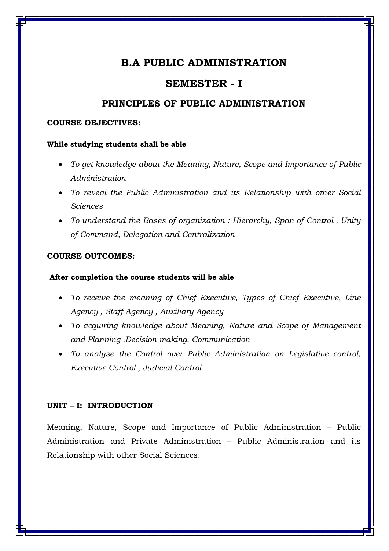## **SEMESTER - I**

#### **PRINCIPLES OF PUBLIC ADMINISTRATION**

#### **COURSE OBJECTIVES:**

#### **While studying students shall be able**

- *To get knowledge about the Meaning, Nature, Scope and Importance of Public Administration*
- *To reveal the Public Administration and its Relationship with other Social Sciences*
- *To understand the Bases of organization : Hierarchy, Span of Control , Unity of Command, Delegation and Centralization*

#### **COURSE OUTCOMES:**

#### **After completion the course students will be able**

- *To receive the meaning of Chief Executive, Types of Chief Executive, Line Agency , Staff Agency , Auxiliary Agency*
- *To acquiring knowledge about Meaning, Nature and Scope of Management and Planning ,Decision making, Communication*
- *To analyse the Control over Public Administration on Legislative control, Executive Control , Judicial Control*

#### **UNIT – I: INTRODUCTION**

Meaning, Nature, Scope and Importance of Public Administration – Public Administration and Private Administration – Public Administration and its Relationship with other Social Sciences.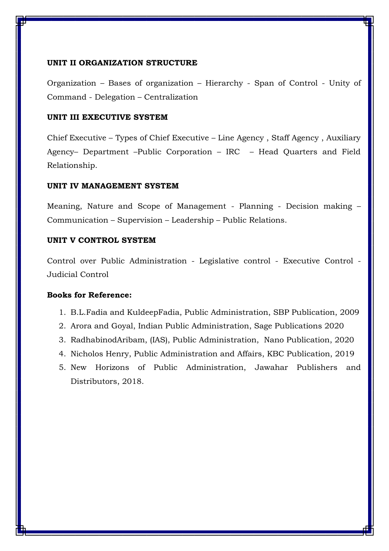#### **UNIT II ORGANIZATION STRUCTURE**

Organization – Bases of organization – Hierarchy - Span of Control - Unity of Command - Delegation – Centralization

#### **UNIT III EXECUTIVE SYSTEM**

Chief Executive – Types of Chief Executive – Line Agency , Staff Agency , Auxiliary Agency– Department –Public Corporation – IRC – Head Quarters and Field Relationship.

#### **UNIT IV MANAGEMENT SYSTEM**

Meaning, Nature and Scope of Management - Planning - Decision making – Communication – Supervision – Leadership – Public Relations.

#### **UNIT V CONTROL SYSTEM**

Control over Public Administration - Legislative control - Executive Control - Judicial Control

- 1. B.L.Fadia and KuldeepFadia, Public Administration, SBP Publication, 2009
- 2. Arora and Goyal, Indian Public Administration, Sage Publications 2020
- 3. RadhabinodAribam, (IAS), Public Administration, Nano Publication, 2020
- 4. Nicholos Henry, Public Administration and Affairs, KBC Publication, 2019
- 5. New Horizons of Public Administration, Jawahar Publishers and Distributors, 2018.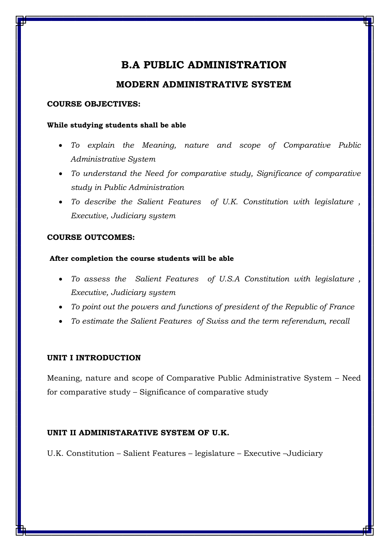### **MODERN ADMINISTRATIVE SYSTEM**

#### **COURSE OBJECTIVES:**

#### **While studying students shall be able**

- *To explain the Meaning, nature and scope of Comparative Public Administrative System*
- *To understand the Need for comparative study, Significance of comparative study in Public Administration*
- *To describe the Salient Features of U.K. Constitution with legislature , Executive, Judiciary system*

#### **COURSE OUTCOMES:**

#### **After completion the course students will be able**

- *To assess the Salient Features of U.S.A Constitution with legislature , Executive, Judiciary system*
- *To point out the powers and functions of president of the Republic of France*
- *To estimate the Salient Features of Swiss and the term referendum, recall*

#### **UNIT I INTRODUCTION**

Meaning, nature and scope of Comparative Public Administrative System – Need for comparative study – Significance of comparative study

#### **UNIT II ADMINISTARATIVE SYSTEM OF U.K.**

U.K. Constitution – Salient Features – legislature – Executive –Judiciary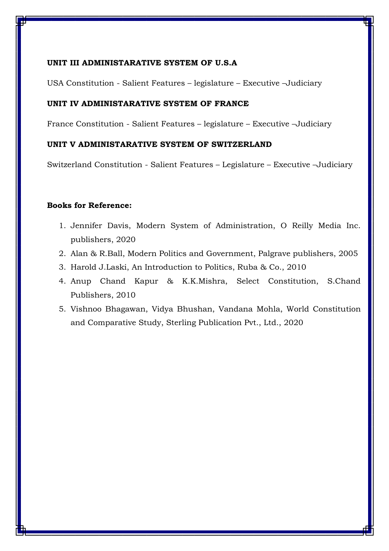#### **UNIT III ADMINISTARATIVE SYSTEM OF U.S.A**

USA Constitution - Salient Features – legislature – Executive –Judiciary

#### **UNIT IV ADMINISTARATIVE SYSTEM OF FRANCE**

France Constitution - Salient Features – legislature – Executive –Judiciary

#### **UNIT V ADMINISTARATIVE SYSTEM OF SWITZERLAND**

Switzerland Constitution - Salient Features – Legislature – Executive –Judiciary

- 1. Jennifer Davis, Modern System of Administration, O Reilly Media Inc. publishers, 2020
- 2. Alan & R.Ball, Modern Politics and Government, Palgrave publishers, 2005
- 3. Harold J.Laski, An Introduction to Politics, Ruba & Co., 2010
- 4. Anup Chand Kapur & K.K.Mishra, Select Constitution, S.Chand Publishers, 2010
- 5. Vishnoo Bhagawan, Vidya Bhushan, Vandana Mohla, World Constitution and Comparative Study, Sterling Publication Pvt., Ltd., 2020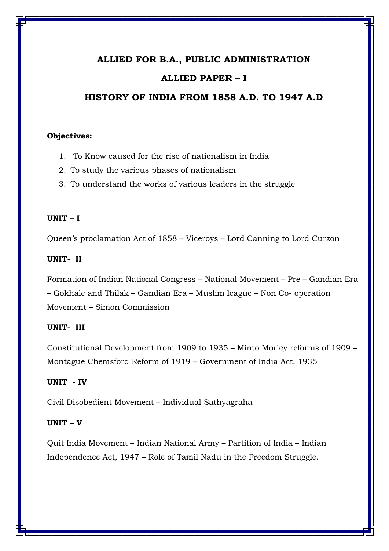#### **ALLIED FOR B.A., PUBLIC ADMINISTRATION**

#### **ALLIED PAPER – I**

### **HISTORY OF INDIA FROM 1858 A.D. TO 1947 A.D**

#### **Objectives:**

- 1. To Know caused for the rise of nationalism in India
- 2. To study the various phases of nationalism
- 3. To understand the works of various leaders in the struggle

#### **UNIT – I**

Queen's proclamation Act of 1858 – Viceroys – Lord Canning to Lord Curzon

#### **UNIT- II**

Formation of Indian National Congress – National Movement – Pre – Gandian Era – Gokhale and Thilak – Gandian Era – Muslim league – Non Co- operation Movement – Simon Commission

#### **UNIT- III**

Constitutional Development from 1909 to 1935 – Minto Morley reforms of 1909 – Montague Chemsford Reform of 1919 – Government of India Act, 1935

#### **UNIT - IV**

Civil Disobedient Movement – Individual Sathyagraha

#### **UNIT – V**

Quit India Movement – Indian National Army – Partition of India – Indian Independence Act, 1947 – Role of Tamil Nadu in the Freedom Struggle.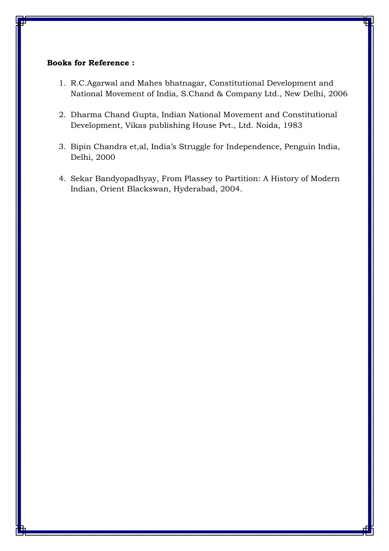- 1. R.C.Agarwal and Mahes bhatnagar, Constitutional Development and National Movement of India, S.Chand & Company Ltd., New Delhi, 2006
- 2. Dharma Chand Gupta, Indian National Movement and Constitutional Development, Vikas publishing House Pvt., Ltd. Noida, 1983
- 3. Bipin Chandra et,al, India's Struggle for Independence, Penguin India, Delhi, 2000
- 4. Sekar Bandyopadhyay, From Plassey to Partition: A History of Modern Indian, Orient Blackswan, Hyderabad, 2004.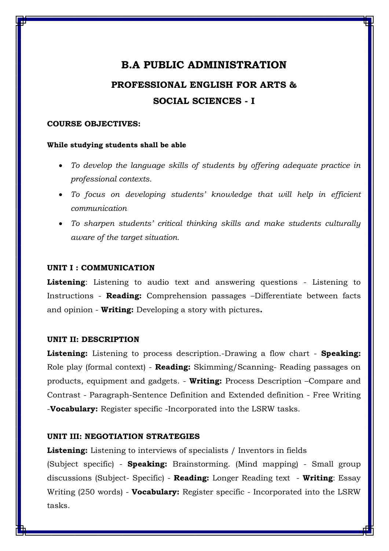## **B.A PUBLIC ADMINISTRATION PROFESSIONAL ENGLISH FOR ARTS & SOCIAL SCIENCES - I**

#### **COURSE OBJECTIVES:**

#### **While studying students shall be able**

- *To develop the language skills of students by offering adequate practice in professional contexts.*
- To focus on developing students' knowledge that will help in efficient *communication*
- *To sharpen students' critical thinking skills and make students culturally aware of the target situation.*

#### **UNIT I : COMMUNICATION**

**Listening**: Listening to audio text and answering questions - Listening to Instructions - **Reading:** Comprehension passages –Differentiate between facts and opinion - **Writing:** Developing a story with pictures**.** 

#### **UNIT II: DESCRIPTION**

**Listening:** Listening to process description.-Drawing a flow chart - **Speaking:**  Role play (formal context) - **Reading:** Skimming/Scanning- Reading passages on products, equipment and gadgets. - **Writing:** Process Description –Compare and Contrast - Paragraph-Sentence Definition and Extended definition - Free Writing -**Vocabulary:** Register specific -Incorporated into the LSRW tasks.

#### **UNIT III: NEGOTIATION STRATEGIES**

**Listening:** Listening to interviews of specialists / Inventors in fields (Subject specific) - **Speaking:** Brainstorming. (Mind mapping) - Small group discussions (Subject- Specific) - **Reading:** Longer Reading text - **Writing**: Essay Writing (250 words) - **Vocabulary:** Register specific - Incorporated into the LSRW tasks.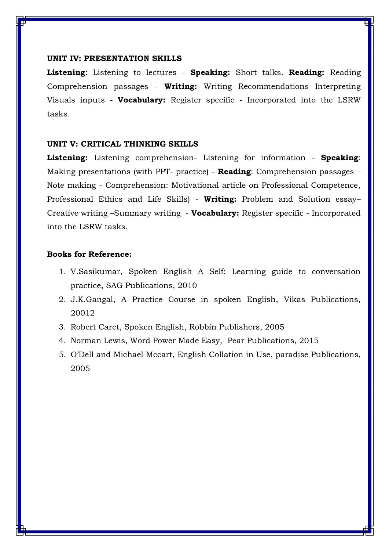#### **UNIT IV: PRESENTATION SKILLS**

**Listening**: Listening to lectures - **Speaking:** Short talks. **Reading:** Reading Comprehension passages - **Writing:** Writing Recommendations Interpreting Visuals inputs - **Vocabulary:** Register specific - Incorporated into the LSRW tasks.

#### **UNIT V: CRITICAL THINKING SKILLS**

**Listening:** Listening comprehension- Listening for information - **Speaking**: Making presentations (with PPT- practice) - **Reading**: Comprehension passages – Note making - Comprehension: Motivational article on Professional Competence, Professional Ethics and Life Skills) - **Writing:** Problem and Solution essay– Creative writing –Summary writing - **Vocabulary:** Register specific - Incorporated into the LSRW tasks.

- 1. V.Sasikumar, Spoken English A Self: Learning guide to conversation practice, SAG Publications, 2010
- 2. J.K.Gangal, A Practice Course in spoken English, Vikas Publications, 20012
- 3. Robert Caret, Spoken English, Robbin Publishers, 2005
- 4. Norman Lewis, Word Power Made Easy, Pear Publications, 2015
- 5. O'Dell and Michael Mccart, English Collation in Use, paradise Publications, 2005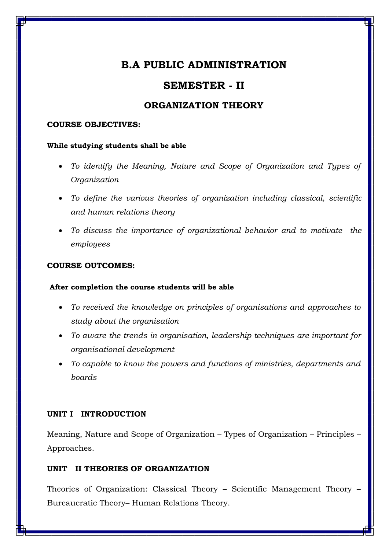## **SEMESTER - II**

### **ORGANIZATION THEORY**

#### **COURSE OBJECTIVES:**

#### **While studying students shall be able**

- *To identify the Meaning, Nature and Scope of Organization and Types of Organization*
- *To define the various theories of organization including classical, scientific and human relations theory*
- *To discuss the importance of organizational behavior and to motivate the employees*

#### **COURSE OUTCOMES:**

#### **After completion the course students will be able**

- *To received the knowledge on principles of organisations and approaches to study about the organisation*
- *To aware the trends in organisation, leadership techniques are important for organisational development*
- *To capable to know the powers and functions of ministries, departments and boards*

#### **UNIT I INTRODUCTION**

Meaning, Nature and Scope of Organization – Types of Organization – Principles – Approaches.

#### **UNIT II THEORIES OF ORGANIZATION**

Theories of Organization: Classical Theory – Scientific Management Theory – Bureaucratic Theory– Human Relations Theory.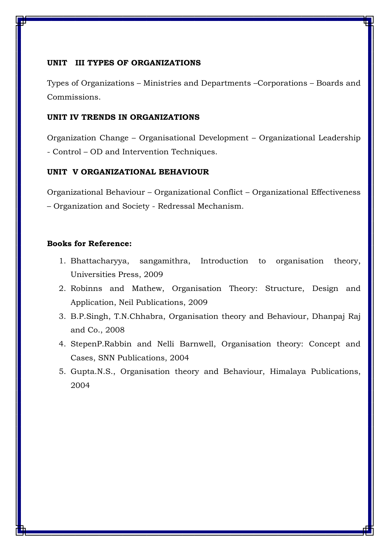#### **UNIT III TYPES OF ORGANIZATIONS**

Types of Organizations – Ministries and Departments –Corporations – Boards and Commissions.

#### **UNIT IV TRENDS IN ORGANIZATIONS**

Organization Change – Organisational Development – Organizational Leadership - Control – OD and Intervention Techniques.

#### **UNIT V ORGANIZATIONAL BEHAVIOUR**

Organizational Behaviour – Organizational Conflict – Organizational Effectiveness – Organization and Society - Redressal Mechanism.

- 1. Bhattacharyya, sangamithra, Introduction to organisation theory, Universities Press, 2009
- 2. Robinns and Mathew, Organisation Theory: Structure, Design and Application, Neil Publications, 2009
- 3. B.P.Singh, T.N.Chhabra, Organisation theory and Behaviour, Dhanpaj Raj and Co., 2008
- 4. StepenP.Rabbin and Nelli Barnwell, Organisation theory: Concept and Cases, SNN Publications, 2004
- 5. Gupta.N.S., Organisation theory and Behaviour, Himalaya Publications, 2004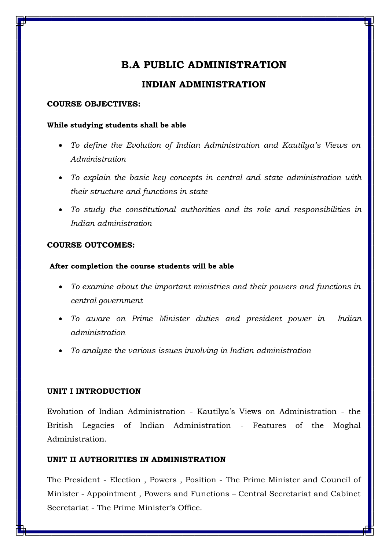## **INDIAN ADMINISTRATION**

#### **COURSE OBJECTIVES:**

#### **While studying students shall be able**

- *To define the Evolution of Indian Administration and Kautilya's Views on Administration*
- *To explain the basic key concepts in central and state administration with their structure and functions in state*
- *To study the constitutional authorities and its role and responsibilities in Indian administration*

#### **COURSE OUTCOMES:**

#### **After completion the course students will be able**

- *To examine about the important ministries and their powers and functions in central government*
- *To aware on Prime Minister duties and president power in Indian administration*
- *To analyze the various issues involving in Indian administration*

#### **UNIT I INTRODUCTION**

Evolution of Indian Administration - Kautilya's Views on Administration - the British Legacies of Indian Administration - Features of the Moghal Administration.

#### **UNIT II AUTHORITIES IN ADMINISTRATION**

The President - Election , Powers , Position - The Prime Minister and Council of Minister - Appointment , Powers and Functions – Central Secretariat and Cabinet Secretariat - The Prime Minister's Office.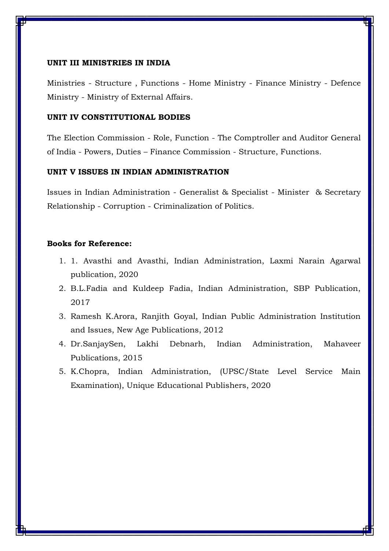#### **UNIT III MINISTRIES IN INDIA**

Ministries - Structure , Functions - Home Ministry - Finance Ministry - Defence Ministry - Ministry of External Affairs.

#### **UNIT IV CONSTITUTIONAL BODIES**

The Election Commission - Role, Function - The Comptroller and Auditor General of India - Powers, Duties – Finance Commission - Structure, Functions.

#### **UNIT V ISSUES IN INDIAN ADMINISTRATION**

Issues in Indian Administration - Generalist & Specialist - Minister & Secretary Relationship - Corruption - Criminalization of Politics.

- 1. 1. Avasthi and Avasthi, Indian Administration, Laxmi Narain Agarwal publication, 2020
- 2. B.L.Fadia and Kuldeep Fadia, Indian Administration, SBP Publication, 2017
- 3. Ramesh K.Arora, Ranjith Goyal, Indian Public Administration Institution and Issues, New Age Publications, 2012
- 4. Dr.SanjaySen, Lakhi Debnarh, Indian Administration, Mahaveer Publications, 2015
- 5. K.Chopra, Indian Administration, (UPSC/State Level Service Main Examination), Unique Educational Publishers, 2020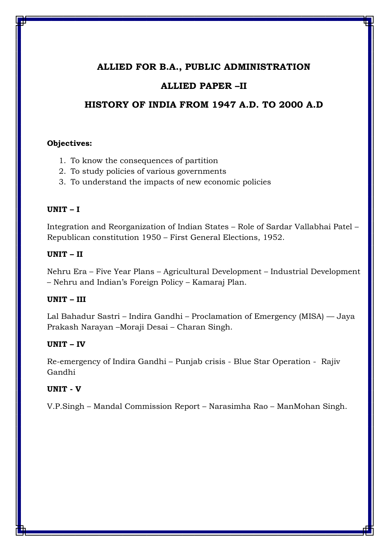## **ALLIED FOR B.A., PUBLIC ADMINISTRATION**

## **ALLIED PAPER –II**

## **HISTORY OF INDIA FROM 1947 A.D. TO 2000 A.D**

#### **Objectives:**

- 1. To know the consequences of partition
- 2. To study policies of various governments
- 3. To understand the impacts of new economic policies

#### **UNIT – I**

Integration and Reorganization of Indian States – Role of Sardar Vallabhai Patel – Republican constitution 1950 – First General Elections, 1952.

#### **UNIT – II**

Nehru Era – Five Year Plans – Agricultural Development – Industrial Development – Nehru and Indian's Foreign Policy – Kamaraj Plan.

#### **UNIT – III**

Lal Bahadur Sastri – Indira Gandhi – Proclamation of Emergency (MISA) –– Jaya Prakash Narayan –Moraji Desai – Charan Singh.

#### **UNIT – IV**

Re-emergency of Indira Gandhi – Punjab crisis - Blue Star Operation - Rajiv Gandhi

#### **UNIT - V**

V.P.Singh – Mandal Commission Report – Narasimha Rao – ManMohan Singh.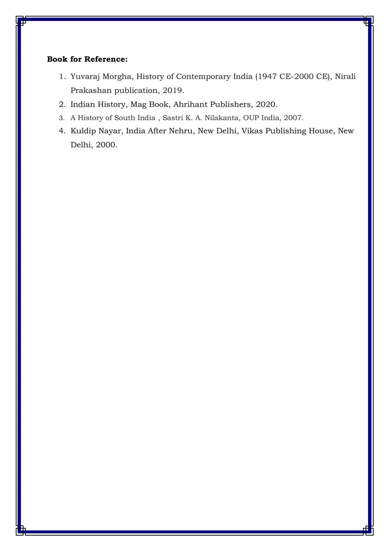- 1. Yuvaraj Morgha, History of Contemporary India (1947 CE-2000 CE), Nirali Prakashan publication, 2019.
- 2. Indian History, Mag Book, Ahrihant Publishers, 2020.
- 3. A History of South India , Sastri K. A. Nilakanta, OUP India, 2007.
- 4. Kuldip Nayar, India After Nehru, New Delhi, Vikas Publishing House, New Delhi, 2000.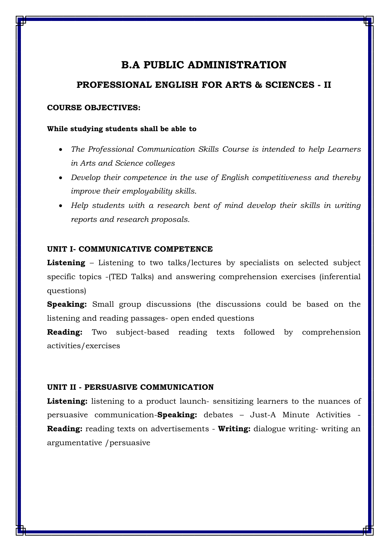#### **PROFESSIONAL ENGLISH FOR ARTS & SCIENCES - II**

#### **COURSE OBJECTIVES:**

#### **While studying students shall be able to**

- *The Professional Communication Skills Course is intended to help Learners in Arts and Science colleges*
- *Develop their competence in the use of English competitiveness and thereby improve their employability skills.*
- *Help students with a research bent of mind develop their skills in writing reports and research proposals.*

#### **UNIT I- COMMUNICATIVE COMPETENCE**

**Listening** – Listening to two talks/lectures by specialists on selected subject specific topics -(TED Talks) and answering comprehension exercises (inferential questions)

**Speaking:** Small group discussions (the discussions could be based on the listening and reading passages- open ended questions

**Reading:** Two subject-based reading texts followed by comprehension activities/exercises

#### **UNIT II - PERSUASIVE COMMUNICATION**

Listening: listening to a product launch- sensitizing learners to the nuances of persuasive communication-**Speaking:** debates – Just-A Minute Activities - **Reading:** reading texts on advertisements - **Writing:** dialogue writing- writing an argumentative /persuasive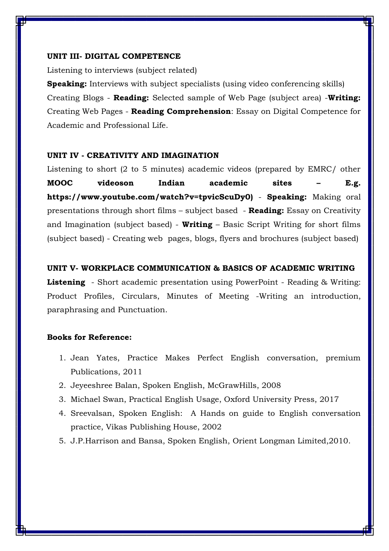#### **UNIT III- DIGITAL COMPETENCE**

Listening to interviews (subject related)

**Speaking:** Interviews with subject specialists (using video conferencing skills) Creating Blogs - **Reading:** Selected sample of Web Page (subject area) -**Writing:** Creating Web Pages - **Reading Comprehension**: Essay on Digital Competence for Academic and Professional Life.

#### **UNIT IV - CREATIVITY AND IMAGINATION**

Listening to short (2 to 5 minutes) academic videos (prepared by EMRC/ other **MOOC videoson Indian academic sites – E.g. [https://www.youtube.com/watch?v=tpvicScuDy0\)](https://www.youtube.com/watch?v=tpvicScuDy0)** - **Speaking:** Making oral presentations through short films – subject based - **Reading:** Essay on Creativity and Imagination (subject based) - **Writing** – Basic Script Writing for short films (subject based) - Creating web pages, blogs, flyers and brochures (subject based)

#### **UNIT V- WORKPLACE COMMUNICATION & BASICS OF ACADEMIC WRITING**

**Listening** - Short academic presentation using PowerPoint - Reading & Writing: Product Profiles, Circulars, Minutes of Meeting -Writing an introduction, paraphrasing and Punctuation.

- 1. Jean Yates, Practice Makes Perfect English conversation, premium Publications, 2011
- 2. Jeyeeshree Balan, Spoken English, McGrawHills, 2008
- 3. Michael Swan, Practical English Usage, Oxford University Press, 2017
- 4. Sreevalsan, Spoken English: A Hands on guide to English conversation practice, Vikas Publishing House, 2002
- 5. J.P.Harrison and Bansa, Spoken English, Orient Longman Limited,2010.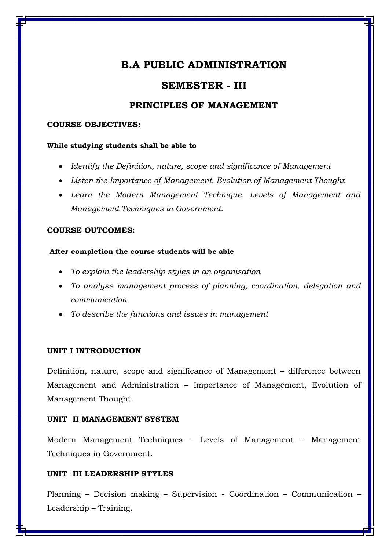## **SEMESTER - III**

### **PRINCIPLES OF MANAGEMENT**

#### **COURSE OBJECTIVES:**

#### **While studying students shall be able to**

- *Identify the Definition, nature, scope and significance of Management*
- *Listen the Importance of Management, Evolution of Management Thought*
- *Learn the Modern Management Technique, Levels of Management and Management Techniques in Government*.

#### **COURSE OUTCOMES:**

#### **After completion the course students will be able**

- *To explain the leadership styles in an organisation*
- *To analyse management process of planning, coordination, delegation and communication*
- *To describe the functions and issues in management*

#### **UNIT I INTRODUCTION**

Definition, nature, scope and significance of Management – difference between Management and Administration – Importance of Management, Evolution of Management Thought.

#### **UNIT II MANAGEMENT SYSTEM**

Modern Management Techniques – Levels of Management – Management Techniques in Government.

#### **UNIT III LEADERSHIP STYLES**

Planning – Decision making – Supervision - Coordination – Communication – Leadership – Training.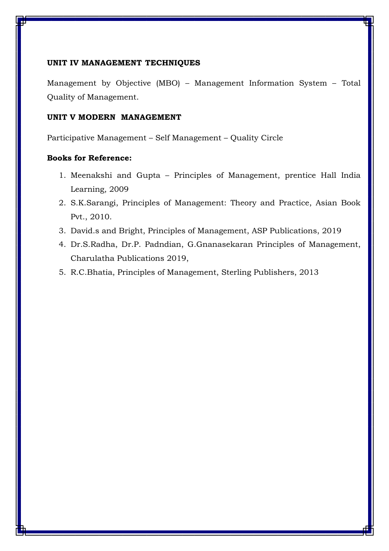#### **UNIT IV MANAGEMENT TECHNIQUES**

Management by Objective (MBO) – Management Information System – Total Quality of Management.

#### **UNIT V MODERN MANAGEMENT**

Participative Management – Self Management – Quality Circle

- 1. Meenakshi and Gupta Principles of Management, prentice Hall India Learning, 2009
- 2. S.K.Sarangi, Principles of Management: Theory and Practice, Asian Book Pvt., 2010.
- 3. David.s and Bright, Principles of Management, ASP Publications, 2019
- 4. Dr.S.Radha, Dr.P. Padndian, G.Gnanasekaran Principles of Management, Charulatha Publications 2019,
- 5. R.C.Bhatia, Principles of Management, Sterling Publishers, 2013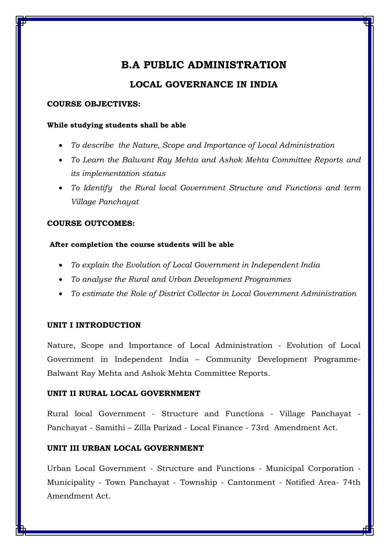## **LOCAL GOVERNANCE IN INDIA**

#### **COURSE OBJECTIVES:**

#### **While studying students shall be able**

- *To describe the Nature, Scope and Importance of Local Administration*
- *To Learn the Balwant Ray Mehta and Ashok Mehta Committee Reports and its implementation status*
- *To Identify the Rural local Government Structure and Functions and term Village Panchayat*

#### **COURSE OUTCOMES:**

#### **After completion the course students will be able**

- *To explain the Evolution of Local Government in Independent India*
- *To analyse the Rural and Urban Development Programmes*
- *To estimate the Role of District Collector in Local Government Administration*

#### **UNIT I INTRODUCTION**

Nature, Scope and Importance of Local Administration - Evolution of Local Government in Independent India – Community Development Programme-Balwant Ray Mehta and Ashok Mehta Committee Reports.

#### **UNIT II RURAL LOCAL GOVERNMENT**

Rural local Government - Structure and Functions - Village Panchayat - Panchayat - Samithi – Zilla Parizad - Local Finance - 73rd Amendment Act.

#### **UNIT III URBAN LOCAL GOVERNMENT**

Urban Local Government - Structure and Functions - Municipal Corporation - Municipality - Town Panchayat - Township - Cantonment - Notified Area- 74th Amendment Act.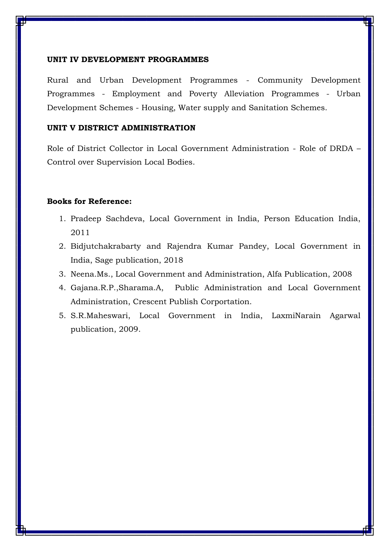#### **UNIT IV DEVELOPMENT PROGRAMMES**

Rural and Urban Development Programmes - Community Development Programmes - Employment and Poverty Alleviation Programmes - Urban Development Schemes - Housing, Water supply and Sanitation Schemes.

#### **UNIT V DISTRICT ADMINISTRATION**

Role of District Collector in Local Government Administration - Role of DRDA – Control over Supervision Local Bodies.

- 1. Pradeep Sachdeva, Local Government in India, Person Education India, 2011
- 2. Bidjutchakrabarty and Rajendra Kumar Pandey, Local Government in India, Sage publication, 2018
- 3. Neena.Ms., Local Government and Administration, Alfa Publication, 2008
- 4. Gajana.R.P.,Sharama.A, Public Administration and Local Government Administration, Crescent Publish Corportation.
- 5. S.R.Maheswari, Local Government in India, LaxmiNarain Agarwal publication, 2009.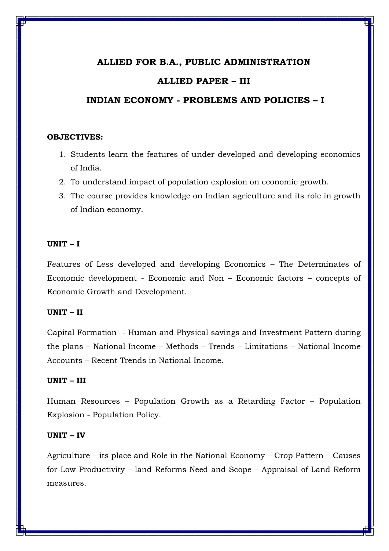#### **ALLIED FOR B.A., PUBLIC ADMINISTRATION**

#### **ALLIED PAPER – III**

#### **INDIAN ECONOMY - PROBLEMS AND POLICIES – I**

#### **OBJECTIVES:**

- 1. Students learn the features of under developed and developing economics of India.
- 2. To understand impact of population explosion on economic growth.
- 3. The course provides knowledge on Indian agriculture and its role in growth of Indian economy.

#### **UNIT – I**

Features of Less developed and developing Economics – The Determinates of Economic development - Economic and Non – Economic factors – concepts of Economic Growth and Development.

#### **UNIT – II**

Capital Formation - Human and Physical savings and Investment Pattern during the plans – National Income – Methods – Trends – Limitations – National Income Accounts – Recent Trends in National Income.

#### **UNIT – III**

Human Resources – Population Growth as a Retarding Factor – Population Explosion - Population Policy.

#### **UNIT – IV**

Agriculture – its place and Role in the National Economy – Crop Pattern – Causes for Low Productivity – land Reforms Need and Scope – Appraisal of Land Reform measures.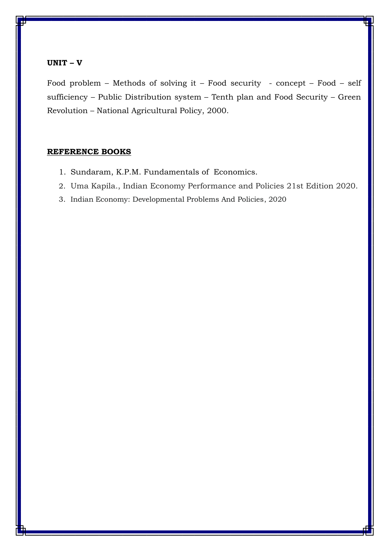#### **UNIT – V**

Food problem – Methods of solving it – Food security - concept – Food – self sufficiency – Public Distribution system – Tenth plan and Food Security – Green Revolution – National Agricultural Policy, 2000.

#### **REFERENCE BOOKS**

- 1. Sundaram, K.P.M. Fundamentals of Economics.
- 2. Uma Kapila., Indian Economy Performance and Policies 21st Edition 2020.
- 3. Indian Economy: Developmental Problems And Policies, 2020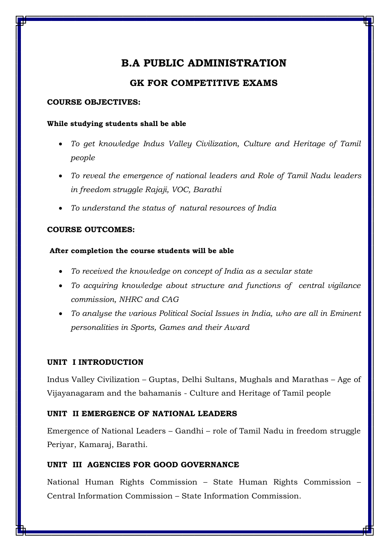## **GK FOR COMPETITIVE EXAMS**

#### **COURSE OBJECTIVES:**

#### **While studying students shall be able**

- *To get knowledge Indus Valley Civilization, Culture and Heritage of Tamil people*
- *To reveal the emergence of national leaders and Role of Tamil Nadu leaders in freedom struggle Rajaji, VOC, Barathi*
- *To understand the status of natural resources of India*

#### **COURSE OUTCOMES:**

#### **After completion the course students will be able**

- *To received the knowledge on concept of India as a secular state*
- *To acquiring knowledge about structure and functions of central vigilance commission, NHRC and CAG*
- *To analyse the various Political Social Issues in India, who are all in Eminent personalities in Sports, Games and their Award*

#### **UNIT I INTRODUCTION**

Indus Valley Civilization – Guptas, Delhi Sultans, Mughals and Marathas – Age of Vijayanagaram and the bahamanis - Culture and Heritage of Tamil people

#### **UNIT II EMERGENCE OF NATIONAL LEADERS**

Emergence of National Leaders – Gandhi – role of Tamil Nadu in freedom struggle Periyar, Kamaraj, Barathi.

#### **UNIT III AGENCIES FOR GOOD GOVERNANCE**

National Human Rights Commission – State Human Rights Commission – Central Information Commission – State Information Commission.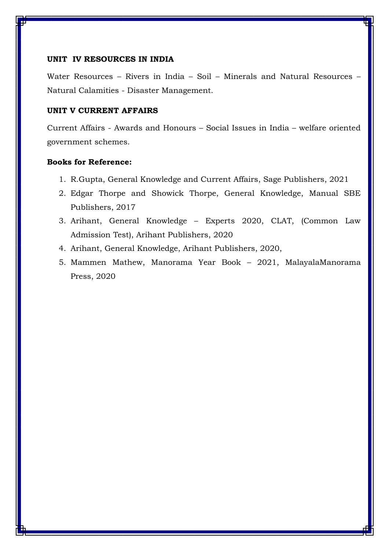#### **UNIT IV RESOURCES IN INDIA**

Water Resources – Rivers in India – Soil – Minerals and Natural Resources – Natural Calamities - Disaster Management.

# **UNIT V CURRENT AFFAIRS**

Current Affairs - Awards and Honours – Social Issues in India – welfare oriented government schemes.

- 1. R.Gupta, General Knowledge and Current Affairs, Sage Publishers, 2021
- 2. Edgar Thorpe and Showick Thorpe, General Knowledge, Manual SBE Publishers, 2017
- 3. Arihant, General Knowledge Experts 2020, CLAT, (Common Law Admission Test), Arihant Publishers, 2020
- 4. Arihant, General Knowledge, Arihant Publishers, 2020,
- 5. Mammen Mathew, Manorama Year Book 2021, MalayalaManorama Press, 2020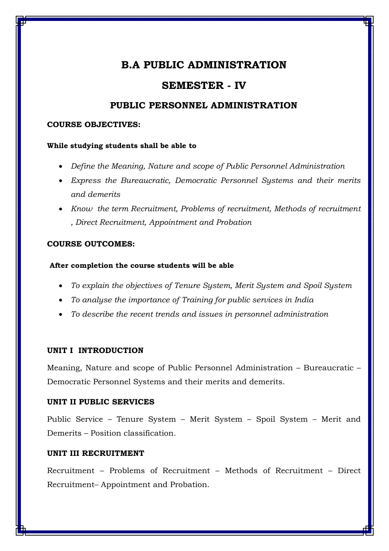# **SEMESTER - IV**

# **PUBLIC PERSONNEL ADMINISTRATION**

## **COURSE OBJECTIVES:**

## **While studying students shall be able to**

- *Define the Meaning, Nature and scope of Public Personnel Administration*
- *Express the Bureaucratic, Democratic Personnel Systems and their merits and demerits*
- *Know the term Recruitment, Problems of recruitment, Methods of recruitment , Direct Recruitment, Appointment and Probation*

## **COURSE OUTCOMES:**

## **After completion the course students will be able**

- *To explain the objectives of Tenure System, Merit System and Spoil System*
- *To analyse the importance of Training for public services in India*
- *To describe the recent trends and issues in personnel administration*

# **UNIT I INTRODUCTION**

Meaning, Nature and scope of Public Personnel Administration – Bureaucratic – Democratic Personnel Systems and their merits and demerits.

## **UNIT II PUBLIC SERVICES**

Public Service – Tenure System – Merit System – Spoil System – Merit and Demerits – Position classification.

# **UNIT III RECRUITMENT**

Recruitment – Problems of Recruitment – Methods of Recruitment – Direct Recruitment– Appointment and Probation.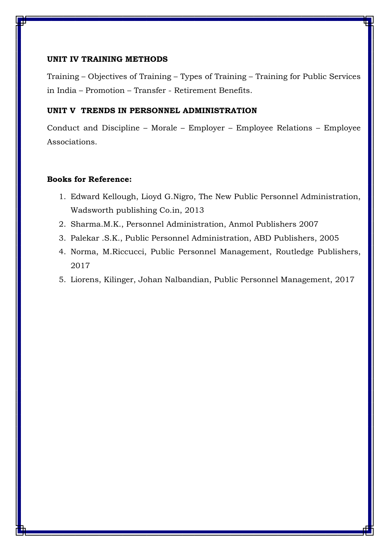#### **UNIT IV TRAINING METHODS**

Training – Objectives of Training – Types of Training – Training for Public Services in India – Promotion – Transfer - Retirement Benefits.

## **UNIT V TRENDS IN PERSONNEL ADMINISTRATION**

Conduct and Discipline – Morale – Employer – Employee Relations – Employee Associations.

- 1. Edward Kellough, Lioyd G.Nigro, The New Public Personnel Administration, Wadsworth publishing Co.in, 2013
- 2. Sharma.M.K., Personnel Administration, Anmol Publishers 2007
- 3. Palekar .S.K., Public Personnel Administration, ABD Publishers, 2005
- 4. Norma, M.Riccucci, Public Personnel Management, Routledge Publishers, 2017
- 5. Liorens, Kilinger, Johan Nalbandian, Public Personnel Management, 2017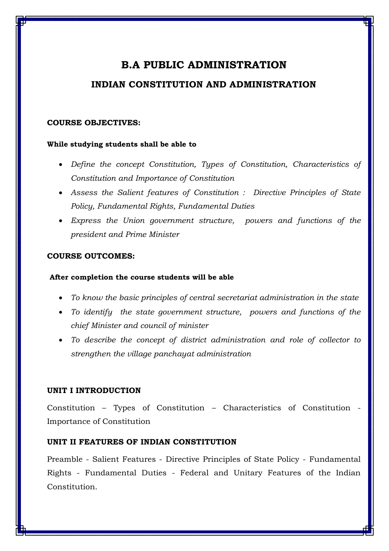# **INDIAN CONSTITUTION AND ADMINISTRATION**

## **COURSE OBJECTIVES:**

## **While studying students shall be able to**

- *Define the concept Constitution, Types of Constitution, Characteristics of Constitution and Importance of Constitution*
- *Assess the Salient features of Constitution : Directive Principles of State Policy, Fundamental Rights, Fundamental Duties*
- *Express the Union government structure, powers and functions of the president and Prime Minister*

## **COURSE OUTCOMES:**

## **After completion the course students will be able**

- *To know the basic principles of central secretariat administration in the state*
- *To identify the state government structure, powers and functions of the chief Minister and council of minister*
- *To describe the concept of district administration and role of collector to strengthen the village panchayat administration*

# **UNIT I INTRODUCTION**

Constitution – Types of Constitution – Characteristics of Constitution - Importance of Constitution

# **UNIT II FEATURES OF INDIAN CONSTITUTION**

Preamble - Salient Features - Directive Principles of State Policy - Fundamental Rights - Fundamental Duties - Federal and Unitary Features of the Indian Constitution.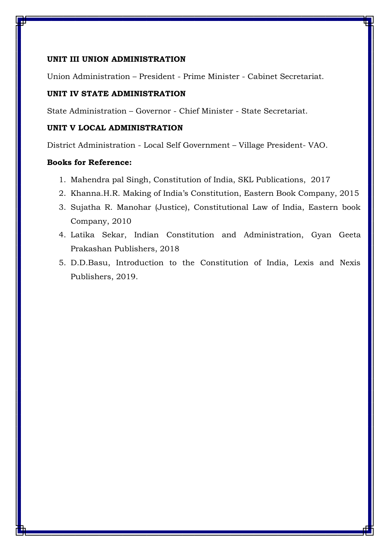## **UNIT III UNION ADMINISTRATION**

Union Administration – President - Prime Minister - Cabinet Secretariat.

# **UNIT IV STATE ADMINISTRATION**

State Administration – Governor - Chief Minister - State Secretariat.

# **UNIT V LOCAL ADMINISTRATION**

District Administration - Local Self Government – Village President- VAO.

- 1. Mahendra pal Singh, Constitution of India, SKL Publications, 2017
- 2. Khanna.H.R. Making of India's Constitution, Eastern Book Company, 2015
- 3. Sujatha R. Manohar (Justice), Constitutional Law of India, Eastern book Company, 2010
- 4. Latika Sekar, Indian Constitution and Administration, Gyan Geeta Prakashan Publishers, 2018
- 5. D.D.Basu, Introduction to the Constitution of India, Lexis and Nexis Publishers, 2019.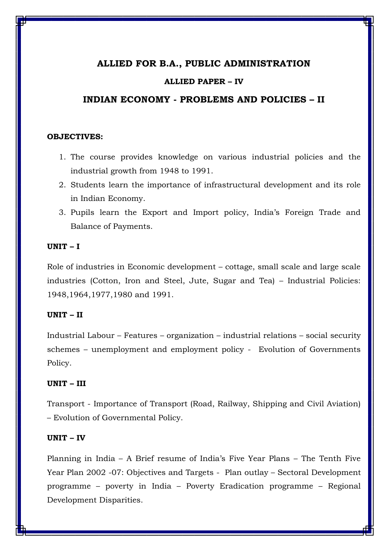# **ALLIED FOR B.A., PUBLIC ADMINISTRATION**

### **ALLIED PAPER – IV**

## **INDIAN ECONOMY - PROBLEMS AND POLICIES – II**

#### **OBJECTIVES:**

- 1. The course provides knowledge on various industrial policies and the industrial growth from 1948 to 1991.
- 2. Students learn the importance of infrastructural development and its role in Indian Economy.
- 3. Pupils learn the Export and Import policy, India's Foreign Trade and Balance of Payments.

### **UNIT – I**

Role of industries in Economic development – cottage, small scale and large scale industries (Cotton, Iron and Steel, Jute, Sugar and Tea) – Industrial Policies: 1948,1964,1977,1980 and 1991.

### **UNIT – II**

Industrial Labour – Features – organization – industrial relations – social security schemes – unemployment and employment policy - Evolution of Governments Policy.

#### **UNIT – III**

Transport - Importance of Transport (Road, Railway, Shipping and Civil Aviation) – Evolution of Governmental Policy.

# **UNIT – IV**

Planning in India – A Brief resume of India's Five Year Plans – The Tenth Five Year Plan 2002 -07: Objectives and Targets - Plan outlay – Sectoral Development programme – poverty in India – Poverty Eradication programme – Regional Development Disparities.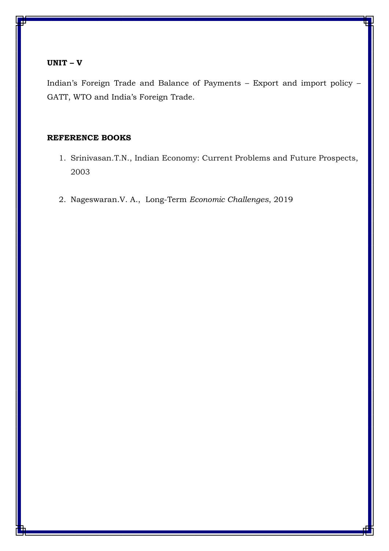## **UNIT – V**

Indian's Foreign Trade and Balance of Payments – Export and import policy – GATT, WTO and India's Foreign Trade.

# **REFERENCE BOOKS**

- 1. Srinivasan.T.N., Indian Economy: Current Problems and Future Prospects, 2003
- 2. Nageswaran.V. A., Long-Term *Economic Challenges*, 2019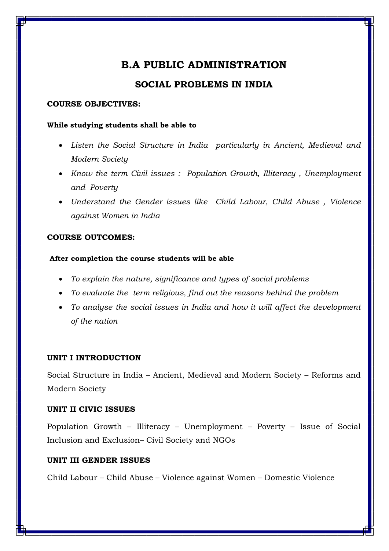# **SOCIAL PROBLEMS IN INDIA**

## **COURSE OBJECTIVES:**

## **While studying students shall be able to**

- *Listen the Social Structure in India particularly in Ancient, Medieval and Modern Society*
- *Know the term Civil issues : Population Growth, Illiteracy , Unemployment and Poverty*
- *Understand the Gender issues like Child Labour, Child Abuse , Violence against Women in India*

# **COURSE OUTCOMES:**

# **After completion the course students will be able**

- *To explain the nature, significance and types of social problems*
- *To evaluate the term religious, find out the reasons behind the problem*
- *To analyse the social issues in India and how it will affect the development of the nation*

# **UNIT I INTRODUCTION**

Social Structure in India – Ancient, Medieval and Modern Society – Reforms and Modern Society

# **UNIT II CIVIC ISSUES**

Population Growth – Illiteracy – Unemployment – Poverty – Issue of Social Inclusion and Exclusion– Civil Society and NGOs

# **UNIT III GENDER ISSUES**

Child Labour – Child Abuse – Violence against Women – Domestic Violence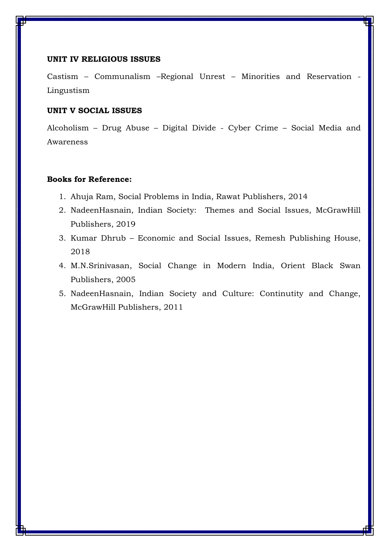#### **UNIT IV RELIGIOUS ISSUES**

Castism – Communalism –Regional Unrest – Minorities and Reservation - Lingustism

## **UNIT V SOCIAL ISSUES**

Alcoholism – Drug Abuse – Digital Divide - Cyber Crime – Social Media and Awareness

- 1. Ahuja Ram, Social Problems in India, Rawat Publishers, 2014
- 2. NadeenHasnain, Indian Society: Themes and Social Issues, McGrawHill Publishers, 2019
- 3. Kumar Dhrub Economic and Social Issues, Remesh Publishing House, 2018
- 4. M.N.Srinivasan, Social Change in Modern India, Orient Black Swan Publishers, 2005
- 5. NadeenHasnain, Indian Society and Culture: Continutity and Change, McGrawHill Publishers, 2011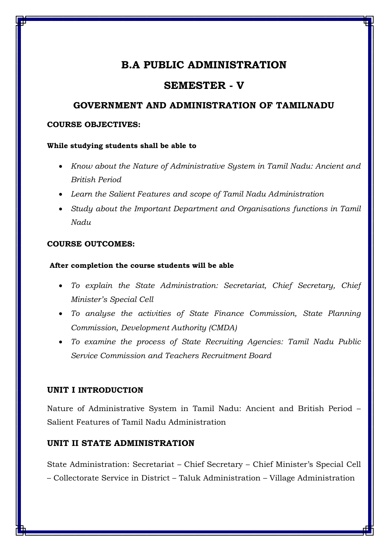# **SEMESTER - V**

# **GOVERNMENT AND ADMINISTRATION OF TAMILNADU**

## **COURSE OBJECTIVES:**

## **While studying students shall be able to**

- *Know about the Nature of Administrative System in Tamil Nadu: Ancient and British Period*
- *Learn the Salient Features and scope of Tamil Nadu Administration*
- *Study about the Important Department and Organisations functions in Tamil Nadu*

## **COURSE OUTCOMES:**

## **After completion the course students will be able**

- *To explain the State Administration: Secretariat, Chief Secretary, Chief Minister's Special Cell*
- *To analyse the activities of State Finance Commission, State Planning Commission, Development Authority (CMDA)*
- *To examine the process of State Recruiting Agencies: Tamil Nadu Public Service Commission and Teachers Recruitment Board*

# **UNIT I INTRODUCTION**

Nature of Administrative System in Tamil Nadu: Ancient and British Period – Salient Features of Tamil Nadu Administration

# **UNIT II STATE ADMINISTRATION**

State Administration: Secretariat – Chief Secretary – Chief Minister's Special Cell – Collectorate Service in District – Taluk Administration – Village Administration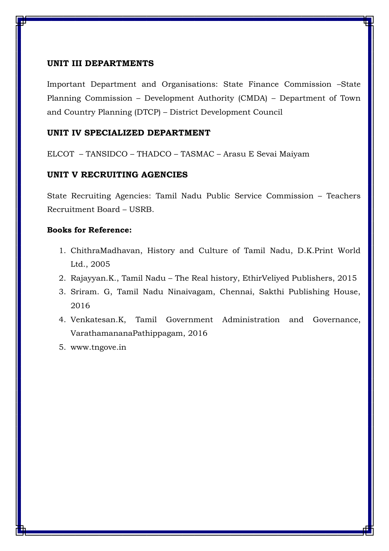## **UNIT III DEPARTMENTS**

Important Department and Organisations: State Finance Commission –State Planning Commission – Development Authority (CMDA) – Department of Town and Country Planning (DTCP) – District Development Council

## **UNIT IV SPECIALIZED DEPARTMENT**

ELCOT – TANSIDCO – THADCO – TASMAC – Arasu E Sevai Maiyam

## **UNIT V RECRUITING AGENCIES**

State Recruiting Agencies: Tamil Nadu Public Service Commission – Teachers Recruitment Board – USRB.

- 1. ChithraMadhavan, History and Culture of Tamil Nadu, D.K.Print World Ltd., 2005
- 2. Rajayyan.K., Tamil Nadu The Real history, EthirVeliyed Publishers, 2015
- 3. Sriram. G, Tamil Nadu Ninaivagam, Chennai, Sakthi Publishing House, 2016
- 4. Venkatesan.K, Tamil Government Administration and Governance, VarathamananaPathippagam, 2016
- 5. [www.tngove.in](http://www.tngove.in/)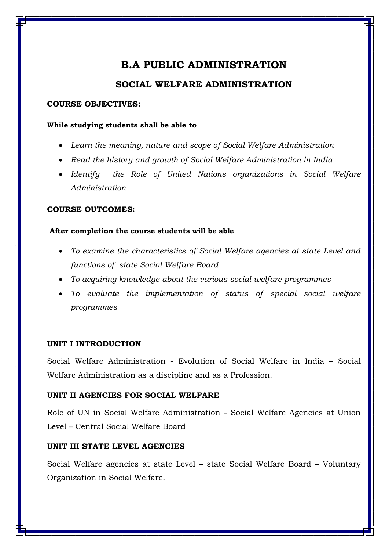# **SOCIAL WELFARE ADMINISTRATION**

## **COURSE OBJECTIVES:**

## **While studying students shall be able to**

- *Learn the meaning, nature and scope of Social Welfare Administration*
- Read the history and growth of Social Welfare Administration in India
- *Identify the Role of United Nations organizations in Social Welfare Administration*

# **COURSE OUTCOMES:**

# **After completion the course students will be able**

- *To examine the characteristics of Social Welfare agencies at state Level and functions of state Social Welfare Board*
- *To acquiring knowledge about the various social welfare programmes*
- *To evaluate the implementation of status of special social welfare programmes*

# **UNIT I INTRODUCTION**

Social Welfare Administration - Evolution of Social Welfare in India – Social Welfare Administration as a discipline and as a Profession.

# **UNIT II AGENCIES FOR SOCIAL WELFARE**

Role of UN in Social Welfare Administration - Social Welfare Agencies at Union Level – Central Social Welfare Board

# **UNIT III STATE LEVEL AGENCIES**

Social Welfare agencies at state Level – state Social Welfare Board – Voluntary Organization in Social Welfare.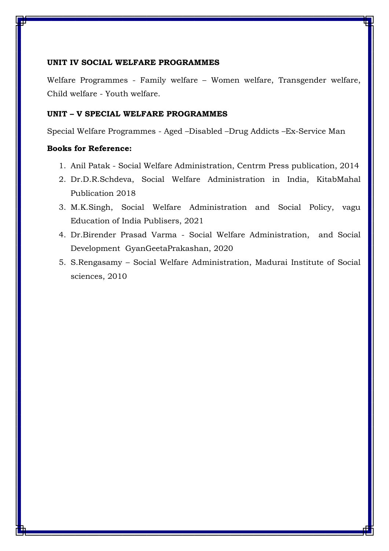## **UNIT IV SOCIAL WELFARE PROGRAMMES**

Welfare Programmes - Family welfare – Women welfare, Transgender welfare, Child welfare - Youth welfare.

# **UNIT – V SPECIAL WELFARE PROGRAMMES**

Special Welfare Programmes - Aged –Disabled –Drug Addicts –Ex-Service Man

- 1. Anil Patak Social Welfare Administration, Centrm Press publication, 2014
- 2. Dr.D.R.Schdeva, Social Welfare Administration in India, KitabMahal Publication 2018
- 3. M.K.Singh, Social Welfare Administration and Social Policy, vagu Education of India Publisers, 2021
- 4. Dr.Birender Prasad Varma Social Welfare Administration, and Social Development GyanGeetaPrakashan, 2020
- 5. S.Rengasamy Social Welfare Administration, Madurai Institute of Social sciences, 2010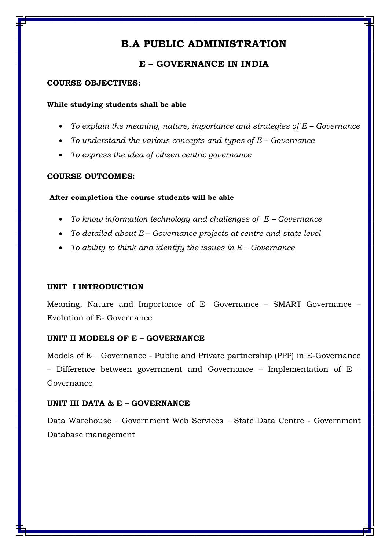# **E – GOVERNANCE IN INDIA**

### **COURSE OBJECTIVES:**

#### **While studying students shall be able**

- To explain the meaning, nature, importance and strategies of E Governance
- *To understand the various concepts and types of E – Governance*
- *To express the idea of citizen centric governance*

## **COURSE OUTCOMES:**

#### **After completion the course students will be able**

- *To know information technology and challenges of E – Governance*
- *To detailed about E – Governance projects at centre and state level*
- *To ability to think and identify the issues in E – Governance*

## **UNIT I INTRODUCTION**

Meaning, Nature and Importance of E- Governance – SMART Governance – Evolution of E- Governance

## **UNIT II MODELS OF E – GOVERNANCE**

Models of E – Governance - Public and Private partnership (PPP) in E-Governance – Difference between government and Governance – Implementation of E - Governance

## **UNIT III DATA & E – GOVERNANCE**

Data Warehouse – Government Web Services – State Data Centre - Government Database management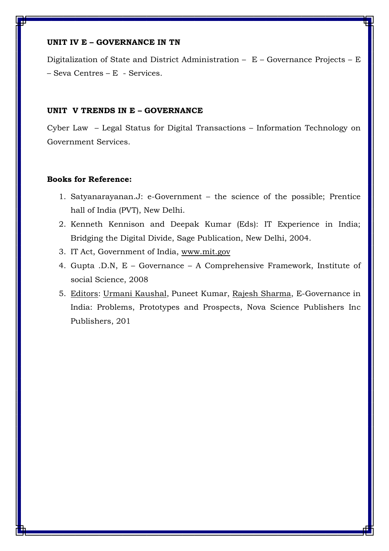## **UNIT IV E – GOVERNANCE IN TN**

Digitalization of State and District Administration – E – Governance Projects – E – Seva Centres – E - Services.

#### **UNIT V TRENDS IN E – GOVERNANCE**

Cyber Law – Legal Status for Digital Transactions – Information Technology on Government Services.

- 1. Satyanarayanan.J: e-Government the science of the possible; Prentice hall of India (PVT), New Delhi.
- 2. Kenneth Kennison and Deepak Kumar (Eds): IT Experience in India; Bridging the Digital Divide, Sage Publication, New Delhi, 2004.
- 3. IT Act, Government of India, [www.mit.gov](http://www.mit.gov/)
- 4. Gupta .D.N, E Governance A Comprehensive Framework, Institute of social Science, 2008
- 5. [Editors:](https://www.google.com/search?safe=active&sa=X&biw=1600&bih=700&sxsrf=ALeKk02AK2To5Nq77WjjjnAun5hviM9jQQ:1619583787509&q=e-governance+in+india:+problems,+prototypes+and+prospects+editors&stick=H4sIAAAAAAAAACWMMQpCMQxAJ8FFB09QcBOldhK7eRKpbajBmtQkWLyOJ_V_hDe8t7zlerPy1YeQg9Tj-fTabe8j-sytQTZk8kPQDOg6WB4aoaCxfBcXOFR-g1CiDA5pomCKrgvfGjx1P5uxfTqoS1Tm1D4t1f0X-gPcU-ceegAAAA&ved=2ahUKEwiZgtrii6DwAhUKzTgGHVYYAjQQ6BMoADAQegQIDRAC) [Urmani Kaushal,](https://www.google.com/search?safe=active&sa=X&biw=1600&bih=700&sxsrf=ALeKk02AK2To5Nq77WjjjnAun5hviM9jQQ:1619583787509&q=Urmani+Kaushal&stick=H4sIAAAAAAAAAOPgE-LVT9c3NEw2LEo3sDQvVIJxc-OLK4qytJQzyq30k_NzclKTSzLz8_TLizJLSlLz4svzi7KLrVJTMkvyixax8oUW5SbmZSp4J5YWZyTm7GBlBADWcr5dWQAAAA&ved=2ahUKEwiZgtrii6DwAhUKzTgGHVYYAjQQmxMoATAQegQIDRAD) Puneet Kumar, [Rajesh Sharma,](https://www.google.com/search?safe=active&sa=X&biw=1600&bih=700&sxsrf=ALeKk02AK2To5Nq77WjjjnAun5hviM9jQQ:1619583787509&q=Rajesh+Sharma&stick=H4sIAAAAAAAAAOPgE-LVT9c3NEw2LEo3sDQvVIJwUyorqoqTi-O1lDPKrfST83NyUpNLMvPz9MuLMktKUvPiy_OLsoutUlMyS_KLFrHyBiVmpRZnKARnJBblJu5gZQQAPcf3uFgAAAA&ved=2ahUKEwiZgtrii6DwAhUKzTgGHVYYAjQQmxMoAzAQegQIDRAF) E-Governance in India: Problems, Prototypes and Prospects, Nova Science Publishers Inc Publishers, 201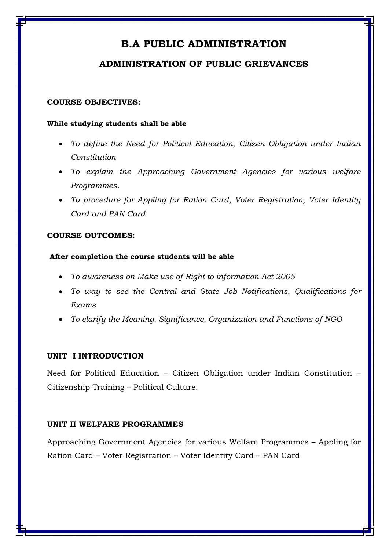# **ADMINISTRATION OF PUBLIC GRIEVANCES**

## **COURSE OBJECTIVES:**

### **While studying students shall be able**

- *To define the Need for Political Education, Citizen Obligation under Indian Constitution*
- *To explain the Approaching Government Agencies for various welfare Programmes.*
- *To procedure for Appling for Ration Card, Voter Registration, Voter Identity Card and PAN Card*

## **COURSE OUTCOMES:**

## **After completion the course students will be able**

- *To awareness on Make use of Right to information Act 2005*
- *To way to see the Central and State Job Notifications, Qualifications for Exams*
- *To clarify the Meaning, Significance, Organization and Functions of NGO*

# **UNIT I INTRODUCTION**

Need for Political Education – Citizen Obligation under Indian Constitution – Citizenship Training – Political Culture.

# **UNIT II WELFARE PROGRAMMES**

Approaching Government Agencies for various Welfare Programmes – Appling for Ration Card – Voter Registration – Voter Identity Card – PAN Card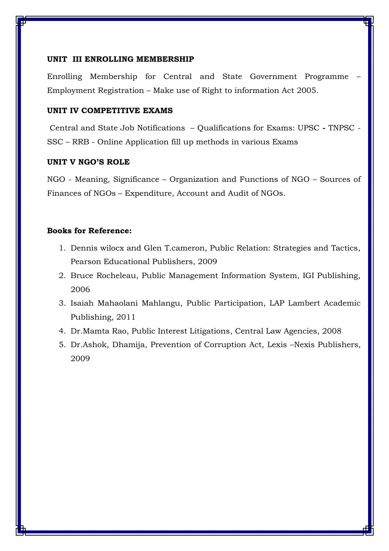#### **UNIT III ENROLLING MEMBERSHIP**

Enrolling Membership for Central and State Government Programme – Employment Registration – Make use of Right to information Act 2005.

## **UNIT IV COMPETITIVE EXAMS**

Central and State Job Notifications – Qualifications for Exams: UPSC **-** TNPSC - SSC – RRB - Online Application fill up methods in various Exams

## **UNIT V NGO'S ROLE**

NGO - Meaning, Significance – Organization and Functions of NGO – Sources of Finances of NGOs – Expenditure, Account and Audit of NGOs.

- 1. Dennis wilocx and Glen T.cameron, Public Relation: Strategies and Tactics, Pearson Educational Publishers, 2009
- 2. Bruce Rocheleau, Public Management Information System, IGI Publishing, 2006
- 3. Isaiah Mahaolani Mahlangu, Public Participation, LAP Lambert Academic Publishing, 2011
- 4. Dr.Mamta Rao, Public Interest Litigations, Central Law Agencies, 2008
- 5. Dr.Ashok, Dhamija, Prevention of Corruption Act, Lexis –Nexis Publishers, 2009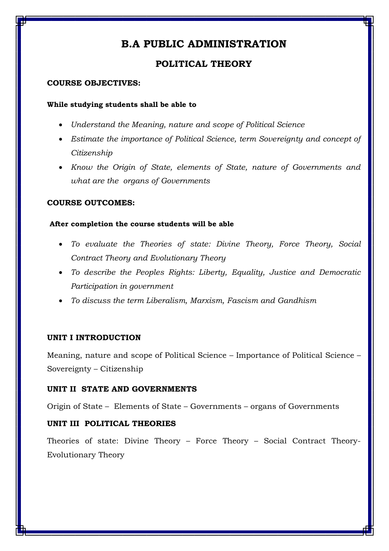# **POLITICAL THEORY**

## **COURSE OBJECTIVES:**

## **While studying students shall be able to**

- *Understand the Meaning, nature and scope of Political Science*
- *Estimate the importance of Political Science, term Sovereignty and concept of Citizenship*
- *Know the Origin of State, elements of State, nature of Governments and what are the organs of Governments*

# **COURSE OUTCOMES:**

## **After completion the course students will be able**

- *To evaluate the Theories of state: Divine Theory, Force Theory, Social Contract Theory and Evolutionary Theory*
- *To describe the Peoples Rights: Liberty, Equality, Justice and Democratic Participation in government*
- *To discuss the term Liberalism, Marxism, Fascism and Gandhism*

# **UNIT I INTRODUCTION**

Meaning, nature and scope of Political Science – Importance of Political Science – Sovereignty – Citizenship

# **UNIT II STATE AND GOVERNMENTS**

Origin of State – Elements of State – Governments – organs of Governments

# **UNIT III POLITICAL THEORIES**

Theories of state: Divine Theory – Force Theory – Social Contract Theory-Evolutionary Theory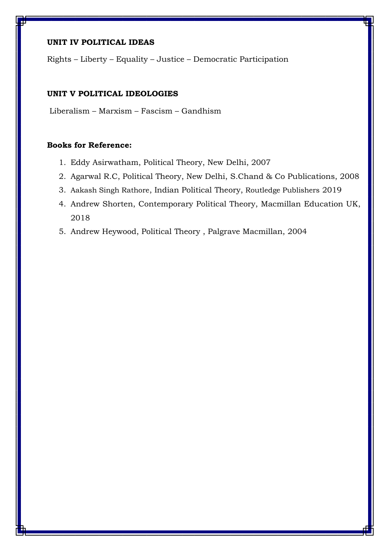## **UNIT IV POLITICAL IDEAS**

Rights – Liberty – Equality – Justice – Democratic Participation

# **UNIT V POLITICAL IDEOLOGIES**

Liberalism – Marxism – Fascism – Gandhism

- 1. Eddy Asirwatham, Political Theory, New Delhi, 2007
- 2. Agarwal R.C, Political Theory, New Delhi, S.Chand & Co Publications, 2008
- 3. [Aakash Singh Rathore](https://www.routledge.com/search?author=Aakash%20Singh%20Rathore), Indian Political Theory, Routledge Publishers 2019
- 4. Andrew Shorten, Contemporary Political Theory, Macmillan Education UK, 2018
- 5. Andrew Heywood, Political Theory , Palgrave Macmillan, 2004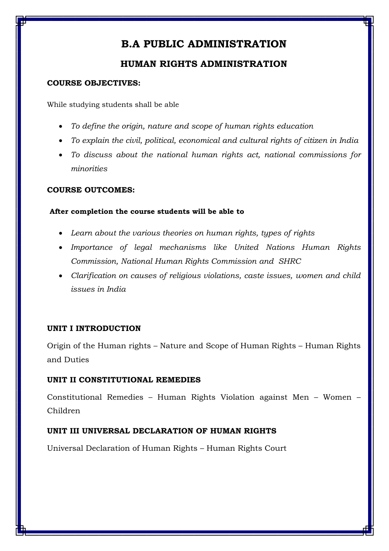# **HUMAN RIGHTS ADMINISTRATION**

# **COURSE OBJECTIVES:**

While studying students shall be able

- *To define the origin, nature and scope of human rights education*
- *To explain the civil, political, economical and cultural rights of citizen in India*
- *To discuss about the national human rights act, national commissions for minorities*

# **COURSE OUTCOMES:**

# **After completion the course students will be able to**

- *Learn about the various theories on human rights, types of rights*
- *Importance of legal mechanisms like United Nations Human Rights Commission, National Human Rights Commission and SHRC*
- *Clarification on causes of religious violations, caste issues, women and child issues in India*

# **UNIT I INTRODUCTION**

Origin of the Human rights – Nature and Scope of Human Rights – Human Rights and Duties

# **UNIT II CONSTITUTIONAL REMEDIES**

Constitutional Remedies – Human Rights Violation against Men – Women – Children

# **UNIT III UNIVERSAL DECLARATION OF HUMAN RIGHTS**

Universal Declaration of Human Rights – Human Rights Court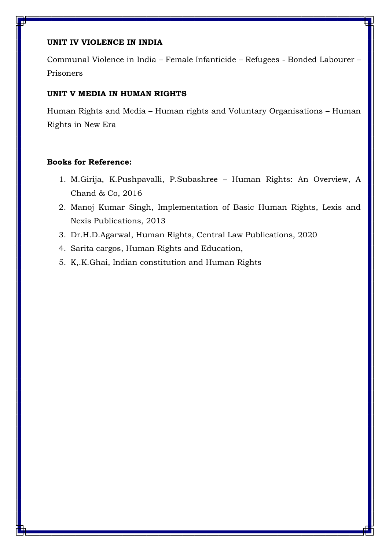## **UNIT IV VIOLENCE IN INDIA**

Communal Violence in India – Female Infanticide – Refugees - Bonded Labourer – Prisoners

## **UNIT V MEDIA IN HUMAN RIGHTS**

Human Rights and Media – Human rights and Voluntary Organisations – Human Rights in New Era

- 1. M.Girija, K.Pushpavalli, P.Subashree Human Rights: An Overview, A Chand & Co, 2016
- 2. Manoj Kumar Singh, Implementation of Basic Human Rights, Lexis and Nexis Publications, 2013
- 3. Dr.H.D.Agarwal, Human Rights, Central Law Publications, 2020
- 4. Sarita cargos, Human Rights and Education,
- 5. K,.K.Ghai, Indian constitution and Human Rights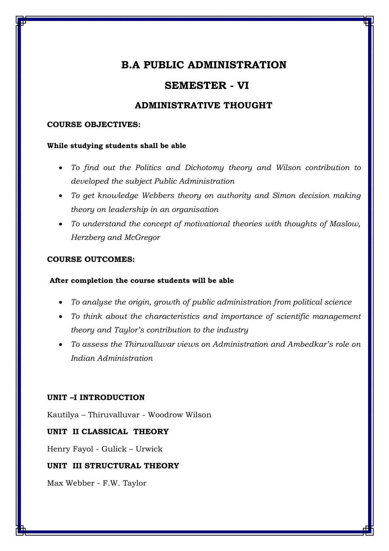# **SEMESTER - VI**

# **ADMINISTRATIVE THOUGHT**

## **COURSE OBJECTIVES:**

#### **While studying students shall be able**

- *To find out the Politics and Dichotomy theory and Wilson contribution to developed the subject Public Administration*
- *To get knowledge Webbers theory on authority and Simon decision making theory on leadership in an organisation*
- *To understand the concept of motivational theories with thoughts of Maslow, Herzberg and McGregor*

## **COURSE OUTCOMES:**

## **After completion the course students will be able**

- *To analyse the origin, growth of public administration from political science*
- *To think about the characteristics and importance of scientific management theory and Taylor's contribution to the industry*
- *To assess the Thiruvalluvar views on Administration and Ambedkar's role on Indian Administration*

## **UNIT –I INTRODUCTION**

Kautilya – Thiruvalluvar - Woodrow Wilson

## **UNIT II CLASSICAL THEORY**

Henry Fayol - Gulick – Urwick

## **UNIT III STRUCTURAL THEORY**

Max Webber - F.W. Taylor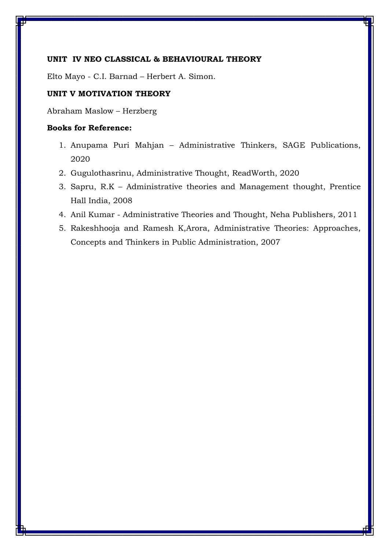## **UNIT IV NEO CLASSICAL & BEHAVIOURAL THEORY**

Elto Mayo - C.I. Barnad – Herbert A. Simon.

# **UNIT V MOTIVATION THEORY**

Abraham Maslow – Herzberg

- 1. Anupama Puri Mahjan Administrative Thinkers, SAGE Publications, 2020
- 2. Gugulothasrinu, Administrative Thought, ReadWorth, 2020
- 3. Sapru, R.K Administrative theories and Management thought, Prentice Hall India, 2008
- 4. Anil Kumar Administrative Theories and Thought, Neha Publishers, 2011
- 5. Rakeshhooja and Ramesh K,Arora, Administrative Theories: Approaches, Concepts and Thinkers in Public Administration, 2007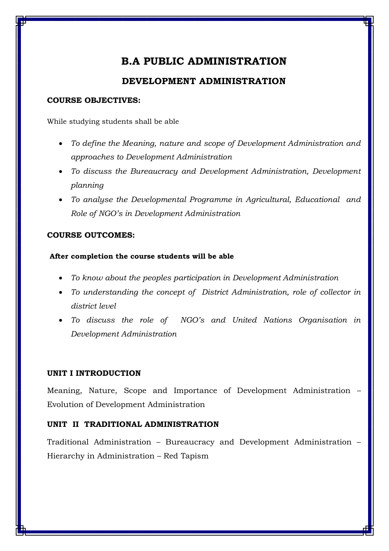# **DEVELOPMENT ADMINISTRATION**

## **COURSE OBJECTIVES:**

While studying students shall be able

- *To define the Meaning, nature and scope of Development Administration and approaches to Development Administration*
- *To discuss the Bureaucracy and Development Administration, Development planning*
- *To analyse the Developmental Programme in Agricultural, Educational and Role of NGO's in Development Administration*

# **COURSE OUTCOMES:**

# **After completion the course students will be able**

- *To know about the peoples participation in Development Administration*
- *To understanding the concept of District Administration, role of collector in district level*
- *To discuss the role of NGO's and United Nations Organisation in Development Administration*

# **UNIT I INTRODUCTION**

Meaning, Nature, Scope and Importance of Development Administration – Evolution of Development Administration

# **UNIT II TRADITIONAL ADMINISTRATION**

Traditional Administration – Bureaucracy and Development Administration – Hierarchy in Administration – Red Tapism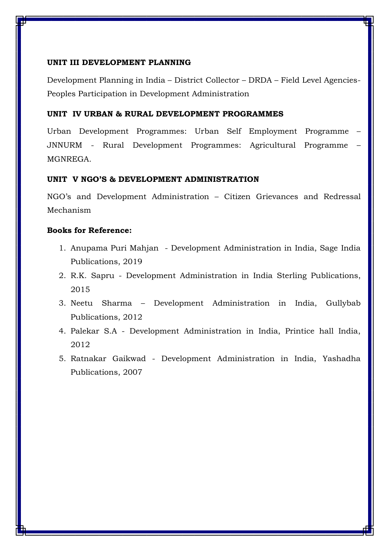## **UNIT III DEVELOPMENT PLANNING**

Development Planning in India – District Collector – DRDA – Field Level Agencies-Peoples Participation in Development Administration

## **UNIT IV URBAN & RURAL DEVELOPMENT PROGRAMMES**

Urban Development Programmes: Urban Self Employment Programme – JNNURM - Rural Development Programmes: Agricultural Programme – MGNREGA.

### **UNIT V NGO'S & DEVELOPMENT ADMINISTRATION**

NGO's and Development Administration – Citizen Grievances and Redressal Mechanism

- 1. Anupama Puri Mahjan Development Administration in India, Sage India Publications, 2019
- 2. R.K. Sapru Development Administration in India Sterling Publications, 2015
- 3. Neetu Sharma Development Administration in India, Gullybab Publications, 2012
- 4. Palekar S.A Development Administration in India, Printice hall India, 2012
- 5. Ratnakar Gaikwad Development Administration in India, Yashadha Publications, 2007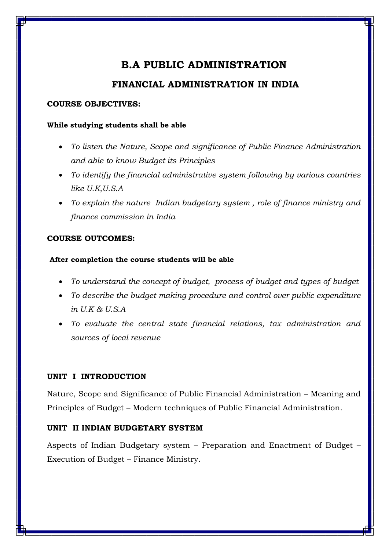# **FINANCIAL ADMINISTRATION IN INDIA**

## **COURSE OBJECTIVES:**

## **While studying students shall be able**

- *To listen the Nature, Scope and significance of Public Finance Administration and able to know Budget its Principles*
- *To identify the financial administrative system following by various countries like U.K,U.S.A*
- *To explain the nature Indian budgetary system , role of finance ministry and finance commission in India*

# **COURSE OUTCOMES:**

# **After completion the course students will be able**

- *To understand the concept of budget, process of budget and types of budget*
- *To describe the budget making procedure and control over public expenditure in U.K & U.S.A*
- *To evaluate the central state financial relations, tax administration and sources of local revenue*

# **UNIT I INTRODUCTION**

Nature, Scope and Significance of Public Financial Administration – Meaning and Principles of Budget – Modern techniques of Public Financial Administration.

# **UNIT II INDIAN BUDGETARY SYSTEM**

Aspects of Indian Budgetary system – Preparation and Enactment of Budget – Execution of Budget – Finance Ministry.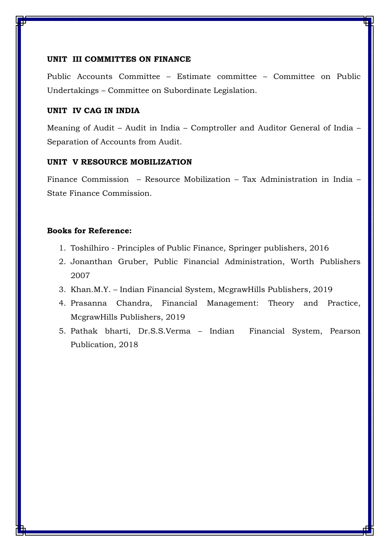#### **UNIT III COMMITTES ON FINANCE**

Public Accounts Committee – Estimate committee – Committee on Public Undertakings – Committee on Subordinate Legislation.

## **UNIT IV CAG IN INDIA**

Meaning of Audit – Audit in India – Comptroller and Auditor General of India – Separation of Accounts from Audit.

# **UNIT V RESOURCE MOBILIZATION**

Finance Commission – Resource Mobilization – Tax Administration in India – State Finance Commission.

- 1. Toshilhiro Principles of Public Finance, Springer publishers, 2016
- 2. Jonanthan Gruber, Public Financial Administration, Worth Publishers 2007
- 3. Khan.M.Y. Indian Financial System, McgrawHills Publishers, 2019
- 4. Prasanna Chandra, Financial Management: Theory and Practice, McgrawHills Publishers, 2019
- 5. Pathak bharti, Dr.S.S.Verma Indian Financial System, Pearson Publication, 2018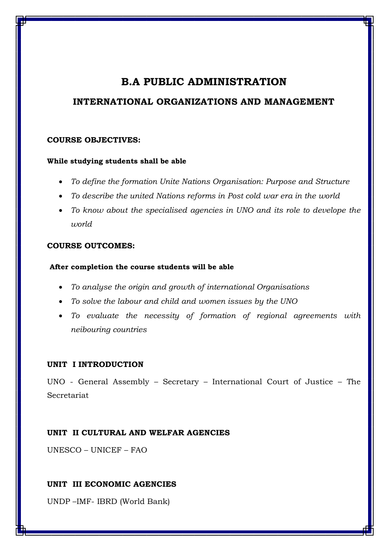# **INTERNATIONAL ORGANIZATIONS AND MANAGEMENT**

# **COURSE OBJECTIVES:**

## **While studying students shall be able**

- *To define the formation Unite Nations Organisation: Purpose and Structure*
- *To describe the united Nations reforms in Post cold war era in the world*
- *To know about the specialised agencies in UNO and its role to develope the world*

# **COURSE OUTCOMES:**

## **After completion the course students will be able**

- *To analyse the origin and growth of international Organisations*
- *To solve the labour and child and women issues by the UNO*
- *To evaluate the necessity of formation of regional agreements with neibouring countries*

# **UNIT I INTRODUCTION**

UNO - General Assembly – Secretary – International Court of Justice – The Secretariat

# **UNIT II CULTURAL AND WELFAR AGENCIES**

UNESCO – UNICEF – FAO

# **UNIT III ECONOMIC AGENCIES**

UNDP –IMF- IBRD (World Bank)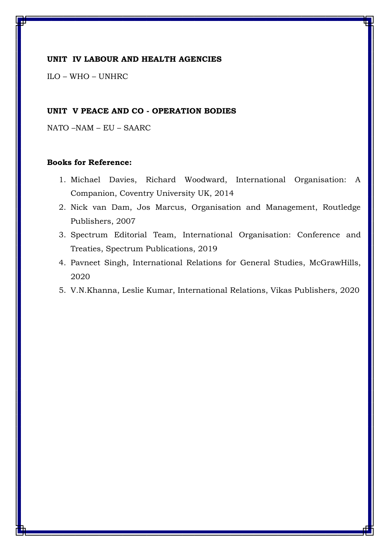#### **UNIT IV LABOUR AND HEALTH AGENCIES**

ILO – WHO – UNHRC

## **UNIT V PEACE AND CO - OPERATION BODIES**

NATO –NAM – EU – SAARC

- 1. Michael Davies, Richard Woodward, International Organisation: A Companion, Coventry University UK, 2014
- 2. Nick van Dam, Jos Marcus, Organisation and Management, Routledge Publishers, 2007
- 3. Spectrum Editorial Team, International Organisation: Conference and Treaties, Spectrum Publications, 2019
- 4. Pavneet Singh, International Relations for General Studies, McGrawHills, 2020
- 5. V.N.Khanna, Leslie Kumar, International Relations, Vikas Publishers, 2020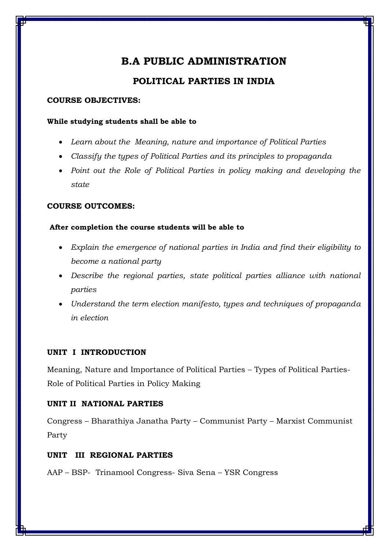# **POLITICAL PARTIES IN INDIA**

## **COURSE OBJECTIVES:**

## **While studying students shall be able to**

- *Learn about the Meaning, nature and importance of Political Parties*
- *Classify the types of Political Parties and its principles to propaganda*
- Point out the Role of Political Parties in policy making and developing the *state*

# **COURSE OUTCOMES:**

# **After completion the course students will be able to**

- *Explain the emergence of national parties in India and find their eligibility to become a national party*
- *Describe the regional parties, state political parties alliance with national parties*
- *Understand the term election manifesto, types and techniques of propaganda in election*

# **UNIT I INTRODUCTION**

Meaning, Nature and Importance of Political Parties – Types of Political Parties-Role of Political Parties in Policy Making

# **UNIT II NATIONAL PARTIES**

Congress – Bharathiya Janatha Party – Communist Party – Marxist Communist Party

# **UNIT III REGIONAL PARTIES**

AAP – BSP- Trinamool Congress- Siva Sena – YSR Congress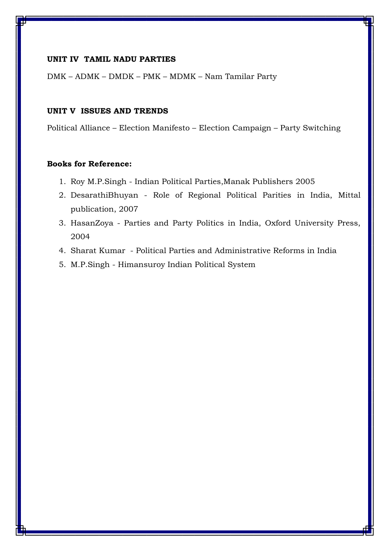# **UNIT IV TAMIL NADU PARTIES**

DMK – ADMK – DMDK – PMK – MDMK – Nam Tamilar Party

## **UNIT V ISSUES AND TRENDS**

Political Alliance – Election Manifesto – Election Campaign – Party Switching

- 1. Roy M.P.Singh Indian Political Parties,Manak Publishers 2005
- 2. DesarathiBhuyan Role of Regional Political Parities in India, Mittal publication, 2007
- 3. HasanZoya Parties and Party Politics in India, Oxford University Press, 2004
- 4. Sharat Kumar Political Parties and Administrative Reforms in India
- 5. M.P.Singh Himansuroy Indian Political System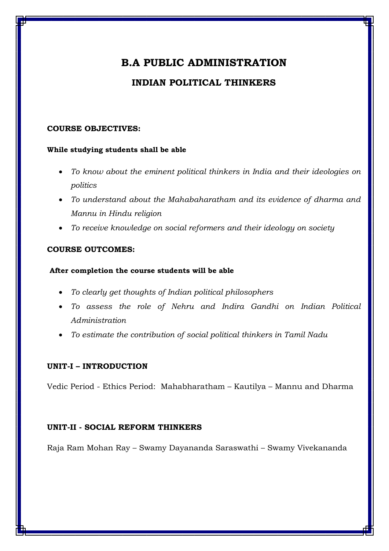# **INDIAN POLITICAL THINKERS**

## **COURSE OBJECTIVES:**

## **While studying students shall be able**

- *To know about the eminent political thinkers in India and their ideologies on politics*
- *To understand about the Mahabaharatham and its evidence of dharma and Mannu in Hindu religion*
- *To receive knowledge on social reformers and their ideology on society*

# **COURSE OUTCOMES:**

# **After completion the course students will be able**

- *To clearly get thoughts of Indian political philosophers*
- *To assess the role of Nehru and Indira Gandhi on Indian Political Administration*
- *To estimate the contribution of social political thinkers in Tamil Nadu*

# **UNIT-I – INTRODUCTION**

Vedic Period - Ethics Period: Mahabharatham – Kautilya – Mannu and Dharma

# **UNIT-II - SOCIAL REFORM THINKERS**

Raja Ram Mohan Ray – Swamy Dayananda Saraswathi – Swamy Vivekananda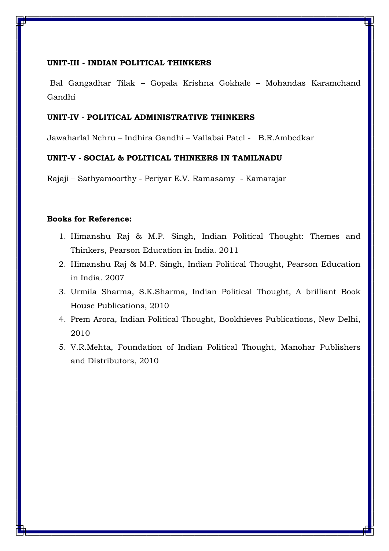## **UNIT-III - INDIAN POLITICAL THINKERS**

Bal Gangadhar Tilak – Gopala Krishna Gokhale – Mohandas Karamchand Gandhi

#### **UNIT-IV - POLITICAL ADMINISTRATIVE THINKERS**

Jawaharlal Nehru – Indhira Gandhi – Vallabai Patel - B.R.Ambedkar

## **UNIT-V - SOCIAL & POLITICAL THINKERS IN TAMILNADU**

Rajaji – Sathyamoorthy - Periyar E.V. Ramasamy - Kamarajar

- 1. Himanshu Raj & M.P. Singh, Indian Political Thought: Themes and Thinkers, Pearson Education in India. 2011
- 2. Himanshu Raj & M.P. Singh, Indian Political Thought, Pearson Education in India. 2007
- 3. Urmila Sharma, S.K.Sharma, Indian Political Thought, A brilliant Book House Publications, 2010
- 4. Prem Arora, Indian Political Thought, Bookhieves Publications, New Delhi, 2010
- 5. V.R.Mehta, Foundation of Indian Political Thought, Manohar Publishers and Distributors, 2010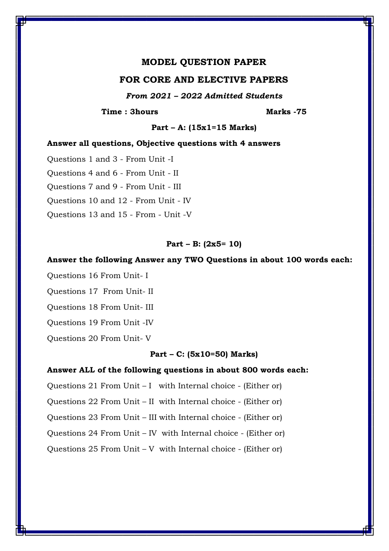## **MODEL QUESTION PAPER**

## **FOR CORE AND ELECTIVE PAPERS**

*From 2021 – 2022 Admitted Students*

**Time : 3hours Marks -75** 

**Part – A: (15x1=15 Marks)**

#### **Answer all questions, Objective questions with 4 answers**

Questions 1 and 3 - From Unit -I Questions 4 and 6 - From Unit - II Questions 7 and 9 - From Unit - III Questions 10 and 12 - From Unit - IV Questions 13 and 15 - From - Unit -V

#### **Part – B: (2x5= 10)**

#### **Answer the following Answer any TWO Questions in about 100 words each:**

Questions 16 From Unit- I

Questions 17 From Unit- II

Questions 18 From Unit- III

Questions 19 From Unit -IV

Questions 20 From Unit- V

## **Part – C: (5x10=50) Marks)**

#### **Answer ALL of the following questions in about 800 words each:**

Questions 21 From Unit – I with Internal choice - (Either or)

Questions 22 From Unit – II with Internal choice - (Either or)

Questions 23 From Unit – III with Internal choice - (Either or)

Questions 24 From Unit – IV with Internal choice - (Either or)

Questions 25 From Unit – V with Internal choice - (Either or)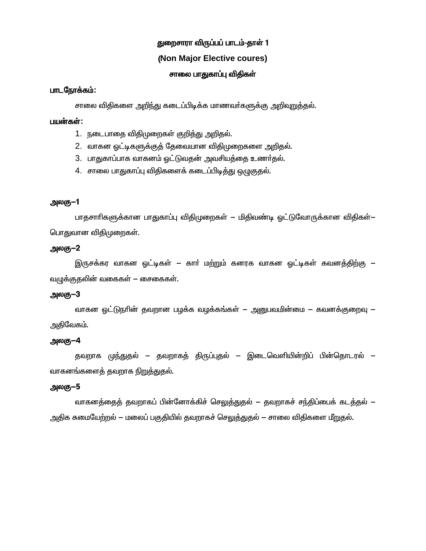# துறைசாரா விருப்பப் பாடம்-தாள் 1

# (**Non Major Elective coures)**

# சாலை பாதுகாப்பு விதிகள்

## பாடநோக்கம்:

சாலை விதிகளை அறிந்து கடைப்பிடிக்க மாணவர்களுக்கு அறிவுறுத்தல்.

## பயன்கள்:

- 1. நடைபாதை விதிமுறைகள் குறித்து அறிதல்.
- 2. வாகன ஒட்டிகளுக்குக் கேவையான விகிமுறைகளை அறிதல்.
- 3. பாதுகாப்பாக வாகனம் ஒட்டுவதன் அவசியத்தை உணர்தல்.
- 4.  $\,$ சாலை பாதுகாப்பு விதிகளைக் கடைப்பிடித்து ஒழுகுதல்.

## அலகு–1

பாதசாாிகளுக்கான பாதுகாப்பு விதிமுறைகள் — மிதிவண்டி ஓட்டுவோருக்கான விதிகள்— பொதுவான விதிமுறைகள்.

## அலகு $-2$

இருசக்கர வாகன ஓட்டிகள் — காா் மற்றும் கனரக வாகன ஓட்டிகள் கவனத்திற்கு *—* வழுக்குதலின் வகைகள் – சைகைகள்.

# அலகு $-3$

வாகன ஒட்டுநாின் தவறான பழக்க வழக்கங்கள் — அனுபவமின்மை — கவனக்குறைவு — அதிவேகம்.

# அலகு $-4$

தவறாக முந்துதல் – தவறாகத் திருப்புதல் – இடைவெளியின்றிப் பின்தொடரல் – வாகனங்களைத் தவறாக <u>நிறுத்து</u>தல்.

# அலகு $-5$

வாகனத்தைத் தவறாகப் பின்னோக்கிச் செ<u>லுத்து</u>தல் – தவறாகச் சந்திப்பைக் கடத்தல் – அதிக சுமையேற்றல் – மலைப் பகுதியில் தவறாகச் செலுத்துதல் – சாலை விதிகளை மீறுதல்.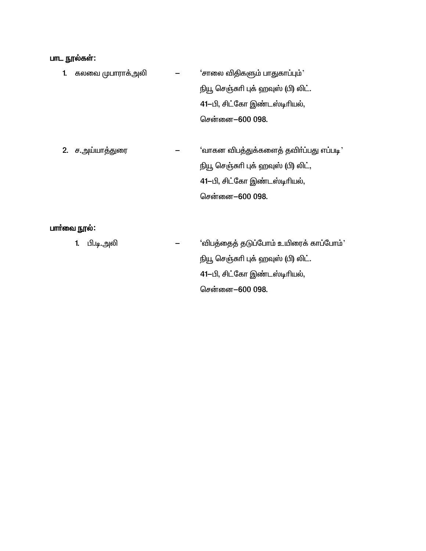# பாட நூல்கள்:

- 1. கலவை முபாராக்அலி $\qquad \qquad \qquad \qquad$ 'சாலை விதிகளும் பாதுகாப்பும்' நியூ செஞ்சுரி புக் ஹவுஸ் (பி) லிட். 41-பி, சிட்கோ இண்டஸ்டிரியல், சென்னை-600 098.
- 2. ச.அய்யாத்துரை  $-$  'வாகன விபத்துக்களைத் தவிா்ப்பது எப்படி' நியூ செஞ்சுரி புக் ஹவுஸ் (பி) லிட், 41-பி, சிட்கோ இண்டஸ்டிரியல், சென்னை-600 098.

# பார்வை நூல்:

1. Ã.o.mè - `ég¤ij¤ jL¥ngh« cæiu¡ fh¥ngh«' நியூ செஞ்சுரி புக் ஹவுஸ் (பி) லிட். 41-பி, சிட்கோ இண்டஸ்டிரியல், சென்னை-600 098.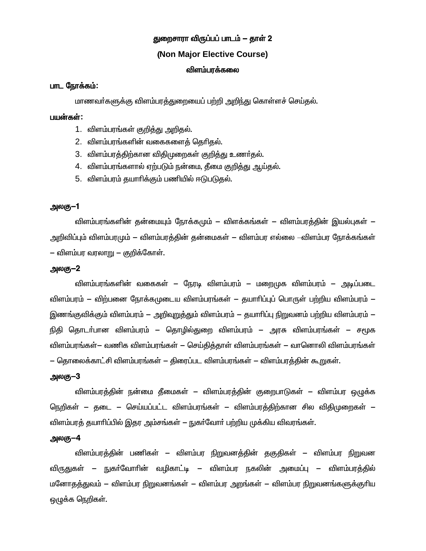# துறைசாரா விருப்பப் பாடம் — தாள் 2

## (Non Major Elective Course)

### விளம்பாக்கலை

## பாட நோக்கம்:

மாணவர்களுக்கு விளம்பரத்துறையைப் பற்றி அறிந்து கொள்ளச் செய்தல்.

#### பயன்கள்:

- 1. விளம்பரங்கள் குறித்து அறிதல்.
- 2. விளம்பரங்களின் வகைகளைக் தெரிகல்.
- 3. விளம்பரத்திற்கான விதிமுறைகள் குறித்து உணர்தல்.
- 4. விளம்பரங்களால் ஏற்படும் நன்மை, கீமை குறிக்கு ஆய்கல்.
- 5. விளம்பரம் தயாாிக்கும் பணியில் ஈடுபடுதல்.

## அலகு–1

விளம்பரங்களின் தன்மையும் நோக்கமும் — விளக்கங்கள் — விளம்பரத்தின் இயல்புகள் — அறிவிப்பும் விளம்பரமும் — விளம்பரத்தின் தன்மைகள் — விளம்பர எல்லை –விளம்பர நோக்கங்கள் – விளம்பர வரலாறு – குறிக்கோள்.

#### அலகு—2

விளம்பரங்களின் வகைகள் – நேரடி விளம்பரம் – மறைமுக விளம்பரம் – அடிப்படை விளம்பரம் — விற்பனை நோக்கமுடைய விளம்பரங்கள் — குயாரிப்புப் பொருள் பற்றிய விளம்பரம் — இணங்குவிக்கும் விளம்பரம் — அறிவுறுக்தும் விளம்பரம் — தயாரிப்பு நிறுவனம் பற்றிய விளம்பரம் — நிதி தொடர்பான விளம்பரம் – தொழில்துறை விளம்பரம் – அரசு விளம்பரங்கள் – சமூக விளம்பரங்கள்— வணிக விளம்பரங்கள் — செய்தித்தாள் விளம்பரங்கள் — வானொலி விளம்பரங்கள் — தொலைக்காட்சி விளம்பரங்கள் — கிரைப்பட விளம்பரங்கள் — விளம்பரக்கின் கூறுகள்.

## அலகு–3

விளம்பாக்கின் நன்மை கீமைகள் — விளம்பாக்கின் குறைபாடுகள் — விளம்பா மைக்க நெறிகள் – தடை – செய்யப்பட்ட விளம்பரங்கள் – விளம்பரத்திற்கான சில விதிமுறைகள் – விளம்பரத் தயாரிப்பில் இதர அம்சங்கள் — நுகர்வோர் பற்றிய முக்கிய விவரங்கள்.

#### அலகு—4

விளம்பரத்தின் பணிகள் — விளம்பர நிறுவனத்தின் தகுதிகள் — விளம்பர நிறுவன விருதுகள் — நுகர்வோரின் வழிகாட்டி — விளம்பர நகலின் அமைப்பு — விளம்பரத்தில் மனோதத்துவம் — விளம்பர நிறுவனங்கள் — விளம்பர அறங்கள் — விளம்பர நிறுவனங்களுக்குரிய ஒழுக்க நெறிகள்.